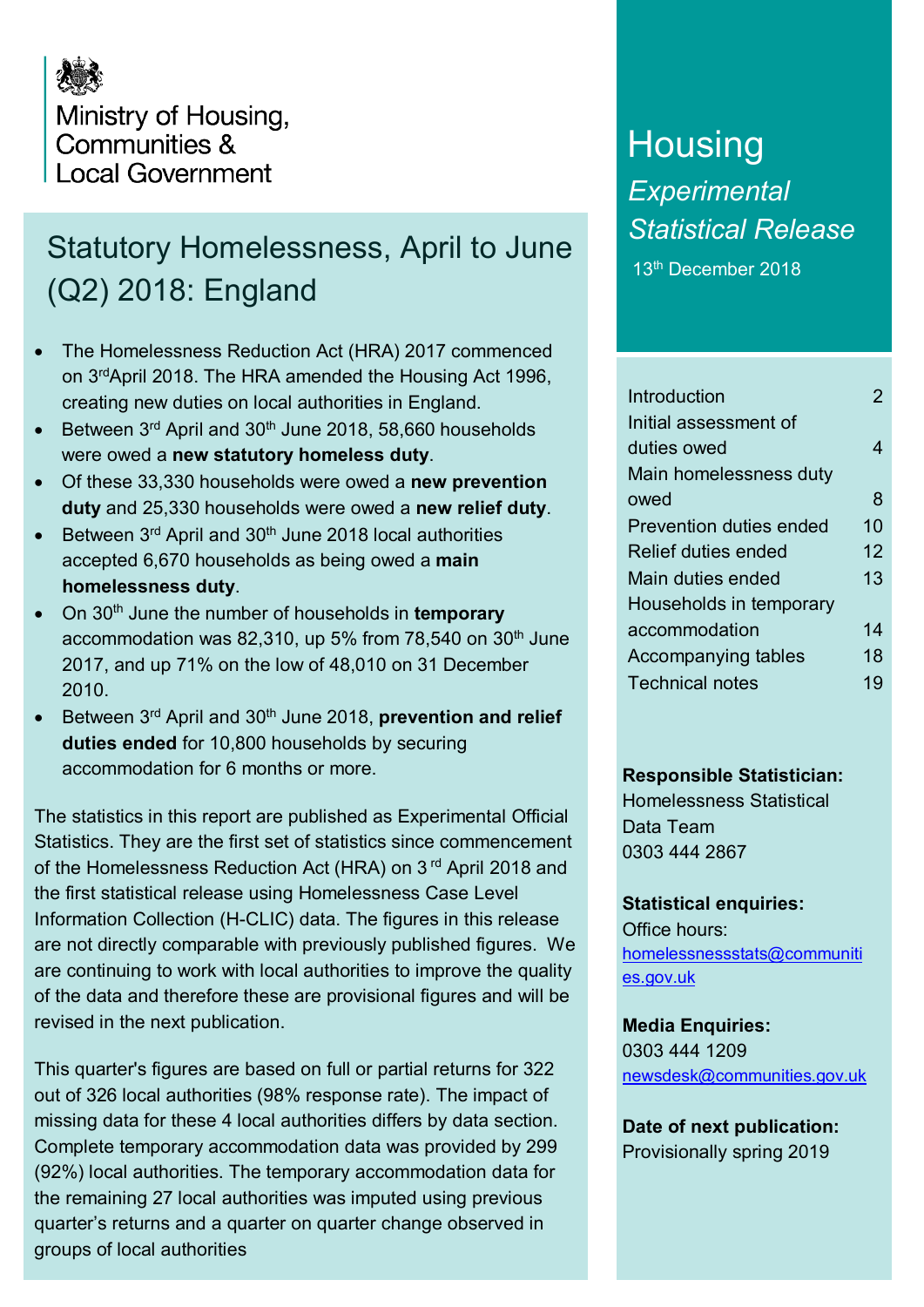

## Statutory Homelessness, April to June (Q2) 2018: England

- The Homelessness Reduction Act (HRA) 2017 commenced on 3rdApril 2018. The HRA amended the Housing Act 1996, creating new duties on local authorities in England.
- Between  $3^{rd}$  April and  $30^{th}$  June 2018, 58,660 households were owed a **new statutory homeless duty**.
- Of these 33,330 households were owed a **new prevention duty** and 25,330 households were owed a **new relief duty**.
- Between  $3<sup>rd</sup>$  April and  $30<sup>th</sup>$  June 2018 local authorities accepted 6,670 households as being owed a **main homelessness duty**.
- On 30<sup>th</sup> June the number of households in **temporary** accommodation was 82,310, up 5% from  $78,540$  on  $30<sup>th</sup>$  June 2017, and up 71% on the low of 48,010 on 31 December 2010.
- Between 3rd April and 30th June 2018, **prevention and relief duties ended** for 10,800 households by securing accommodation for 6 months or more.

The statistics in this report are published as Experimental Official Statistics. They are the first set of statistics since commencement of the Homelessness Reduction Act (HRA) on 3<sup>rd</sup> April 2018 and the first statistical release using Homelessness Case Level Information Collection (H-CLIC) data. The figures in this release are not directly comparable with previously published figures. We are continuing to work with local authorities to improve the quality of the data and therefore these are provisional figures and will be revised in the next publication.

This quarter's figures are based on full or partial returns for 322 out of 326 local authorities (98% response rate). The impact of missing data for these 4 local authorities differs by data section. Complete temporary accommodation data was provided by 299 (92%) local authorities. The temporary accommodation data for the remaining 27 local authorities was imputed using previous quarter's returns and a quarter on quarter change observed in groups of local authorities

# **Housing** *Experimental Statistical Release*

13th December 2018

| Introduction               | 2  |
|----------------------------|----|
| Initial assessment of      |    |
| duties owed                | 4  |
| Main homelessness duty     |    |
| owed                       | 8  |
| Prevention duties ended    | 10 |
| <b>Relief duties ended</b> | 12 |
| Main duties ended          | 13 |
| Households in temporary    |    |
| accommodation              | 14 |
| Accompanying tables        | 18 |
| <b>Technical notes</b>     | 19 |
|                            |    |

#### **Responsible Statistician:**

Homelessness Statistical Data Team 0303 444 2867

#### **Statistical enquiries:**

Office hours: [homelessnessstats@communiti](mailto:homelessnessstats@communities.gov.uk) [es.gov.uk](mailto:homelessnessstats@communities.gov.uk)

**Media Enquiries:** 0303 444 1209 [newsdesk@communities.gov.uk](mailto:newsdesk@communities.gov.uk)

**Date of next publication:** Provisionally spring 2019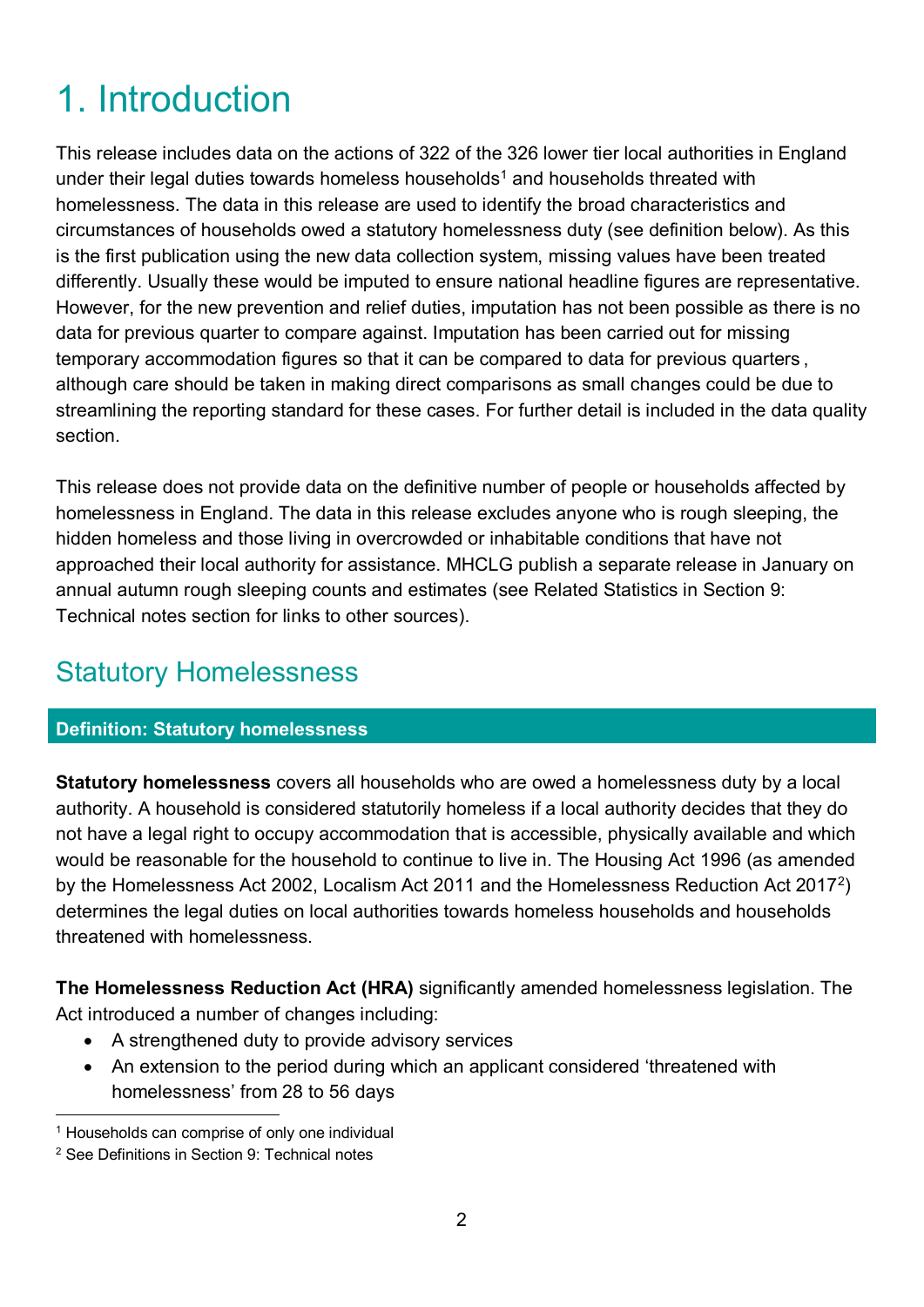# 1. Introduction

This release includes data on the actions of 322 of the 326 lower tier local authorities in England under their legal duties towards homeless households<sup>[1](#page-1-0)</sup> and households threated with homelessness. The data in this release are used to identify the broad characteristics and circumstances of households owed a statutory homelessness duty (see definition below). As this is the first publication using the new data collection system, missing values have been treated differently. Usually these would be imputed to ensure national headline figures are representative. However, for the new prevention and relief duties, imputation has not been possible as there is no data for previous quarter to compare against. Imputation has been carried out for missing temporary accommodation figures so that it can be compared to data for previous quarters , although care should be taken in making direct comparisons as small changes could be due to streamlining the reporting standard for these cases. For further detail is included in the data quality section.

This release does not provide data on the definitive number of people or households affected by homelessness in England. The data in this release excludes anyone who is rough sleeping, the hidden homeless and those living in overcrowded or inhabitable conditions that have not approached their local authority for assistance. MHCLG publish a separate release in January on annual autumn rough sleeping counts and estimates (see Related Statistics in Section 9: Technical notes section for links to other sources).

## Statutory Homelessness

### **Definition: Statutory homelessness**

**Statutory homelessness** covers all households who are owed a homelessness duty by a local authority. A household is considered statutorily homeless if a local authority decides that they do not have a legal right to occupy accommodation that is accessible, physically available and which would be reasonable for the household to continue to live in. The Housing Act 1996 (as amended by the Homelessness Act 2002, Localism Act 2011 and the Homelessness Reduction Act 2017[2](#page-1-1)) determines the legal duties on local authorities towards homeless households and households threatened with homelessness.

**The Homelessness Reduction Act (HRA)** significantly amended homelessness legislation. The Act introduced a number of changes including:

- A strengthened duty to provide advisory services
- An extension to the period during which an applicant considered 'threatened with homelessness' from 28 to 56 days

<span id="page-1-0"></span><sup>&</sup>lt;sup>1</sup> Households can comprise of only one individual

<span id="page-1-1"></span><sup>2</sup> See Definitions in Section 9: Technical notes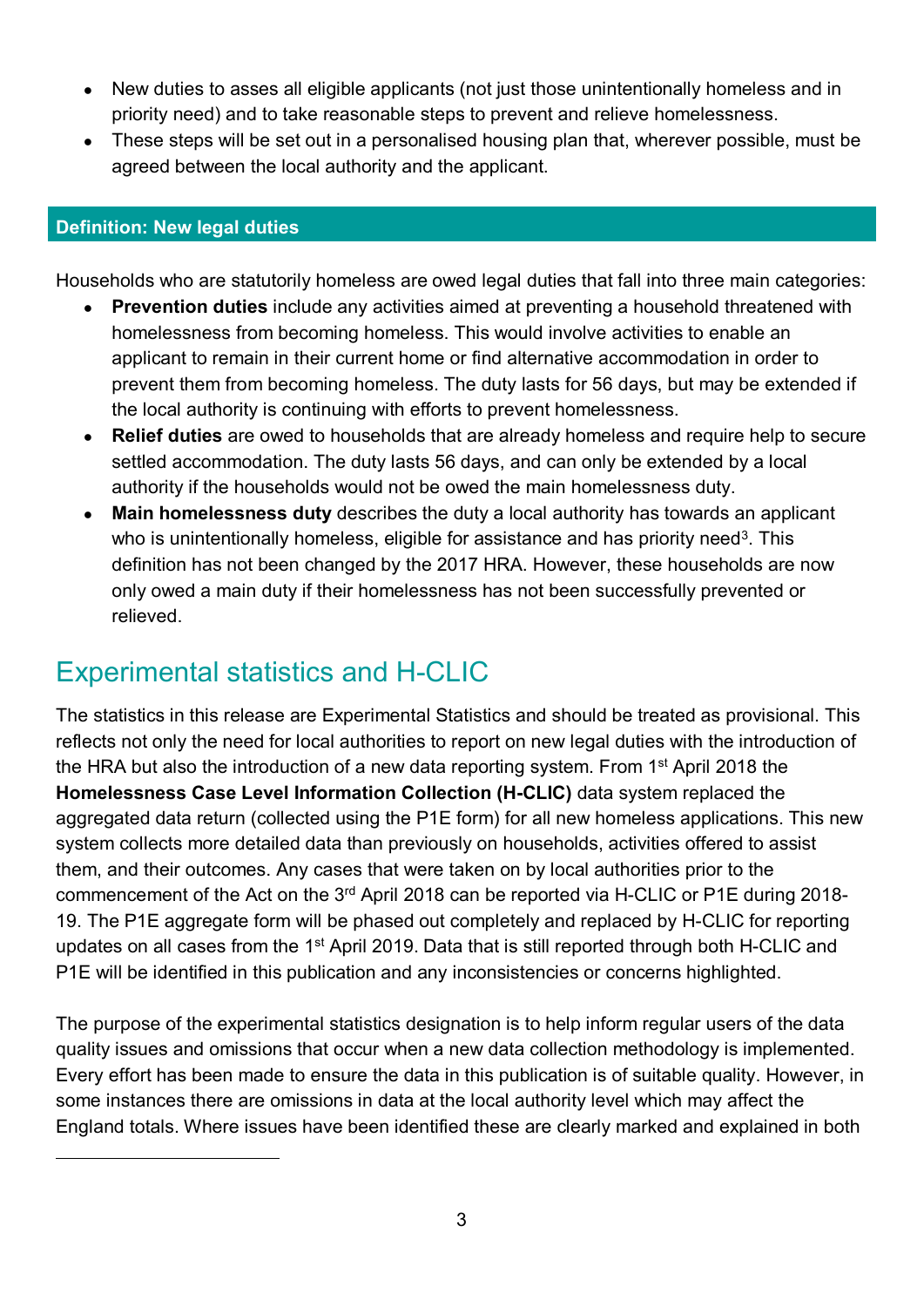- New duties to asses all eligible applicants (not just those unintentionally homeless and in priority need) and to take reasonable steps to prevent and relieve homelessness.
- These steps will be set out in a personalised housing plan that, wherever possible, must be agreed between the local authority and the applicant.

#### **Definition: New legal duties**

<span id="page-2-0"></span>-

Households who are statutorily homeless are owed legal duties that fall into three main categories:

- **Prevention duties** include any activities aimed at preventing a household threatened with homelessness from becoming homeless. This would involve activities to enable an applicant to remain in their current home or find alternative accommodation in order to prevent them from becoming homeless. The duty lasts for 56 days, but may be extended if the local authority is continuing with efforts to prevent homelessness.
- **Relief duties** are owed to households that are already homeless and require help to secure settled accommodation. The duty lasts 56 days, and can only be extended by a local authority if the households would not be owed the main homelessness duty.
- **Main homelessness duty** describes the duty a local authority has towards an applicant who is unintentionally homeless, eligible for assistance and has priority need<sup>[3](#page-2-0)</sup>. This definition has not been changed by the 2017 HRA. However, these households are now only owed a main duty if their homelessness has not been successfully prevented or relieved.

## Experimental statistics and H-CLIC

The statistics in this release are Experimental Statistics and should be treated as provisional. This reflects not only the need for local authorities to report on new legal duties with the introduction of the HRA but also the introduction of a new data reporting system. From 1<sup>st</sup> April 2018 the **Homelessness Case Level Information Collection (H-CLIC)** data system replaced the aggregated data return (collected using the P1E form) for all new homeless applications. This new system collects more detailed data than previously on households, activities offered to assist them, and their outcomes. Any cases that were taken on by local authorities prior to the commencement of the Act on the 3rd April 2018 can be reported via H-CLIC or P1E during 2018- 19. The P1E aggregate form will be phased out completely and replaced by H-CLIC for reporting updates on all cases from the 1<sup>st</sup> April 2019. Data that is still reported through both H-CLIC and P1E will be identified in this publication and any inconsistencies or concerns highlighted.

The purpose of the experimental statistics designation is to help inform regular users of the data quality issues and omissions that occur when a new data collection methodology is implemented. Every effort has been made to ensure the data in this publication is of suitable quality. However, in some instances there are omissions in data at the local authority level which may affect the England totals. Where issues have been identified these are clearly marked and explained in both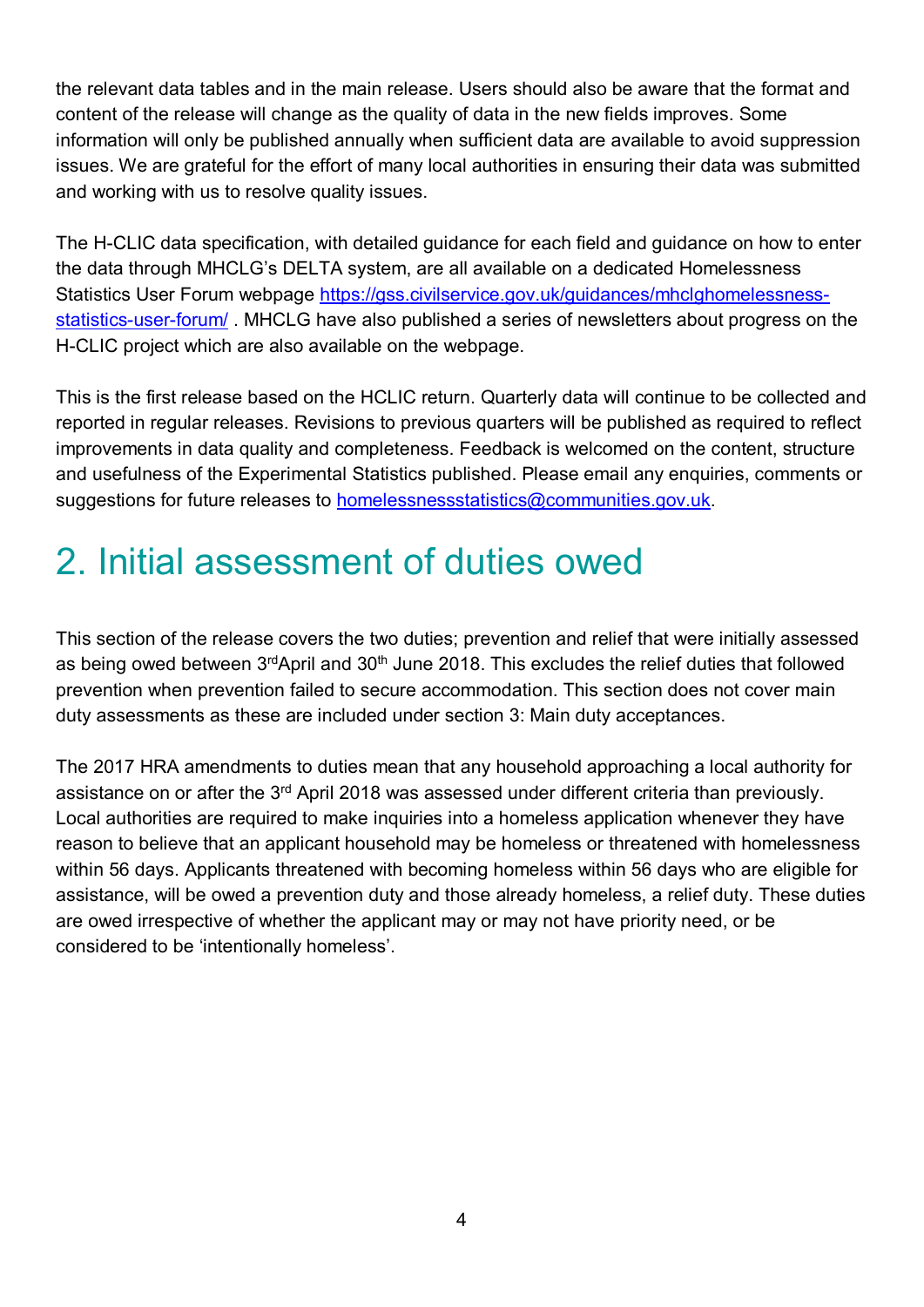the relevant data tables and in the main release. Users should also be aware that the format and content of the release will change as the quality of data in the new fields improves. Some information will only be published annually when sufficient data are available to avoid suppression issues. We are grateful for the effort of many local authorities in ensuring their data was submitted and working with us to resolve quality issues.

The H-CLIC data specification, with detailed guidance for each field and guidance on how to enter the data through MHCLG's DELTA system, are all available on a dedicated Homelessness Statistics User Forum webpage [https://gss.civilservice.gov.uk/guidances/mhclghomelessness](https://gss.civilservice.gov.uk/guidances/mhclghomelessness-statistics-user-forum/)[statistics-user-forum/](https://gss.civilservice.gov.uk/guidances/mhclghomelessness-statistics-user-forum/) . MHCLG have also published a series of newsletters about progress on the H-CLIC project which are also available on the webpage.

This is the first release based on the HCLIC return. Quarterly data will continue to be collected and reported in regular releases. Revisions to previous quarters will be published as required to reflect improvements in data quality and completeness. Feedback is welcomed on the content, structure and usefulness of the Experimental Statistics published. Please email any enquiries, comments or suggestions for future releases to **[homelessnessstatistics@communities.gov.uk.](mailto:homelessnessstatistics@communities.gov.uk)** 

# 2. Initial assessment of duties owed

This section of the release covers the two duties; prevention and relief that were initially assessed as being owed between 3<sup>rd</sup>April and 30<sup>th</sup> June 2018. This excludes the relief duties that followed prevention when prevention failed to secure accommodation. This section does not cover main duty assessments as these are included under section 3: Main duty acceptances.

The 2017 HRA amendments to duties mean that any household approaching a local authority for assistance on or after the 3<sup>rd</sup> April 2018 was assessed under different criteria than previously. Local authorities are required to make inquiries into a homeless application whenever they have reason to believe that an applicant household may be homeless or threatened with homelessness within 56 days. Applicants threatened with becoming homeless within 56 days who are eligible for assistance, will be owed a prevention duty and those already homeless, a relief duty. These duties are owed irrespective of whether the applicant may or may not have priority need, or be considered to be 'intentionally homeless'.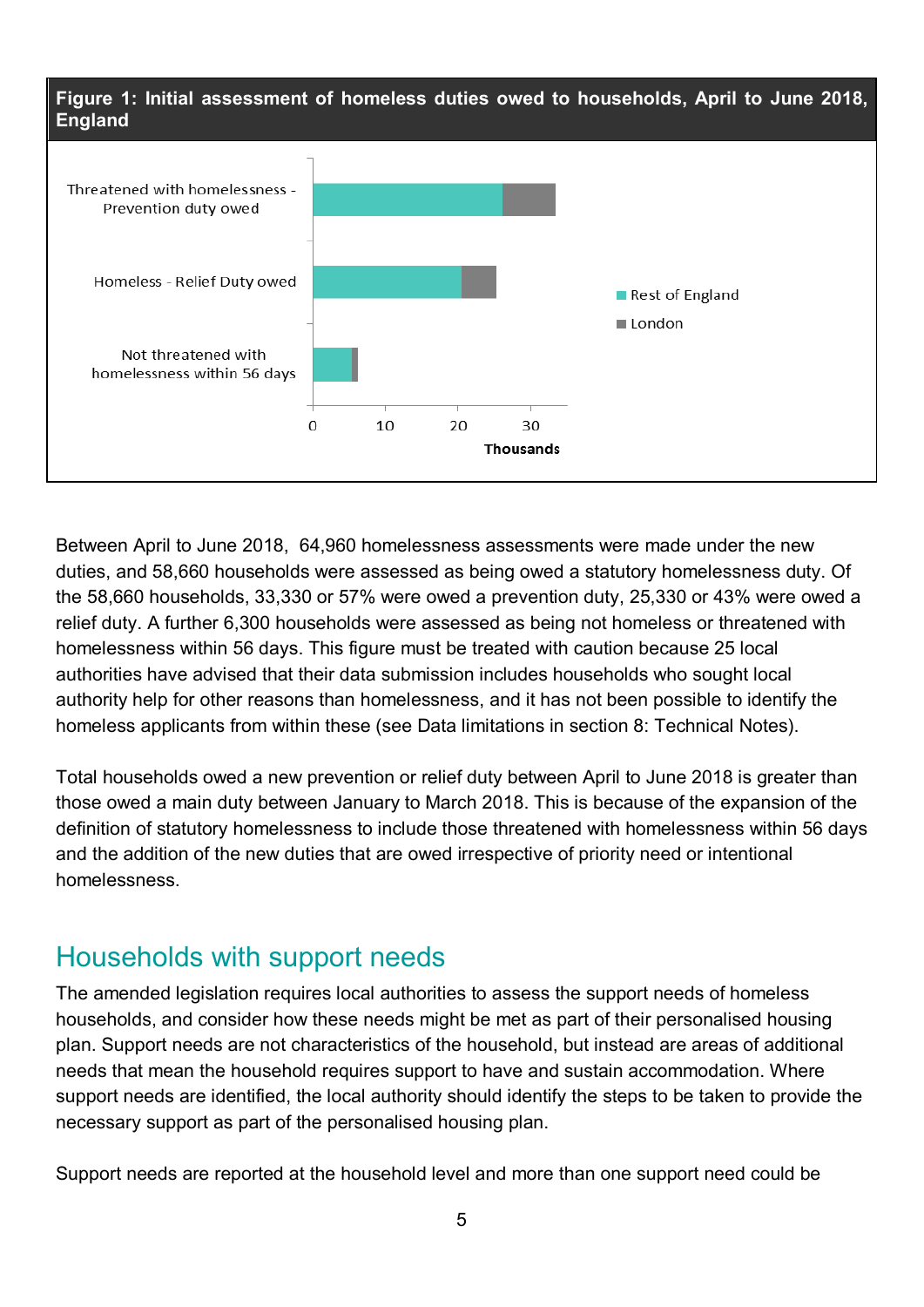

Between April to June 2018, 64,960 homelessness assessments were made under the new duties, and 58,660 households were assessed as being owed a statutory homelessness duty. Of the 58,660 households, 33,330 or 57% were owed a prevention duty, 25,330 or 43% were owed a relief duty. A further 6,300 households were assessed as being not homeless or threatened with homelessness within 56 days. This figure must be treated with caution because 25 local authorities have advised that their data submission includes households who sought local authority help for other reasons than homelessness, and it has not been possible to identify the homeless applicants from within these (see Data limitations in section 8: Technical Notes).

Total households owed a new prevention or relief duty between April to June 2018 is greater than those owed a main duty between January to March 2018. This is because of the expansion of the definition of statutory homelessness to include those threatened with homelessness within 56 days and the addition of the new duties that are owed irrespective of priority need or intentional homelessness.

### Households with support needs

The amended legislation requires local authorities to assess the support needs of homeless households, and consider how these needs might be met as part of their personalised housing plan. Support needs are not characteristics of the household, but instead are areas of additional needs that mean the household requires support to have and sustain accommodation. Where support needs are identified, the local authority should identify the steps to be taken to provide the necessary support as part of the personalised housing plan.

Support needs are reported at the household level and more than one support need could be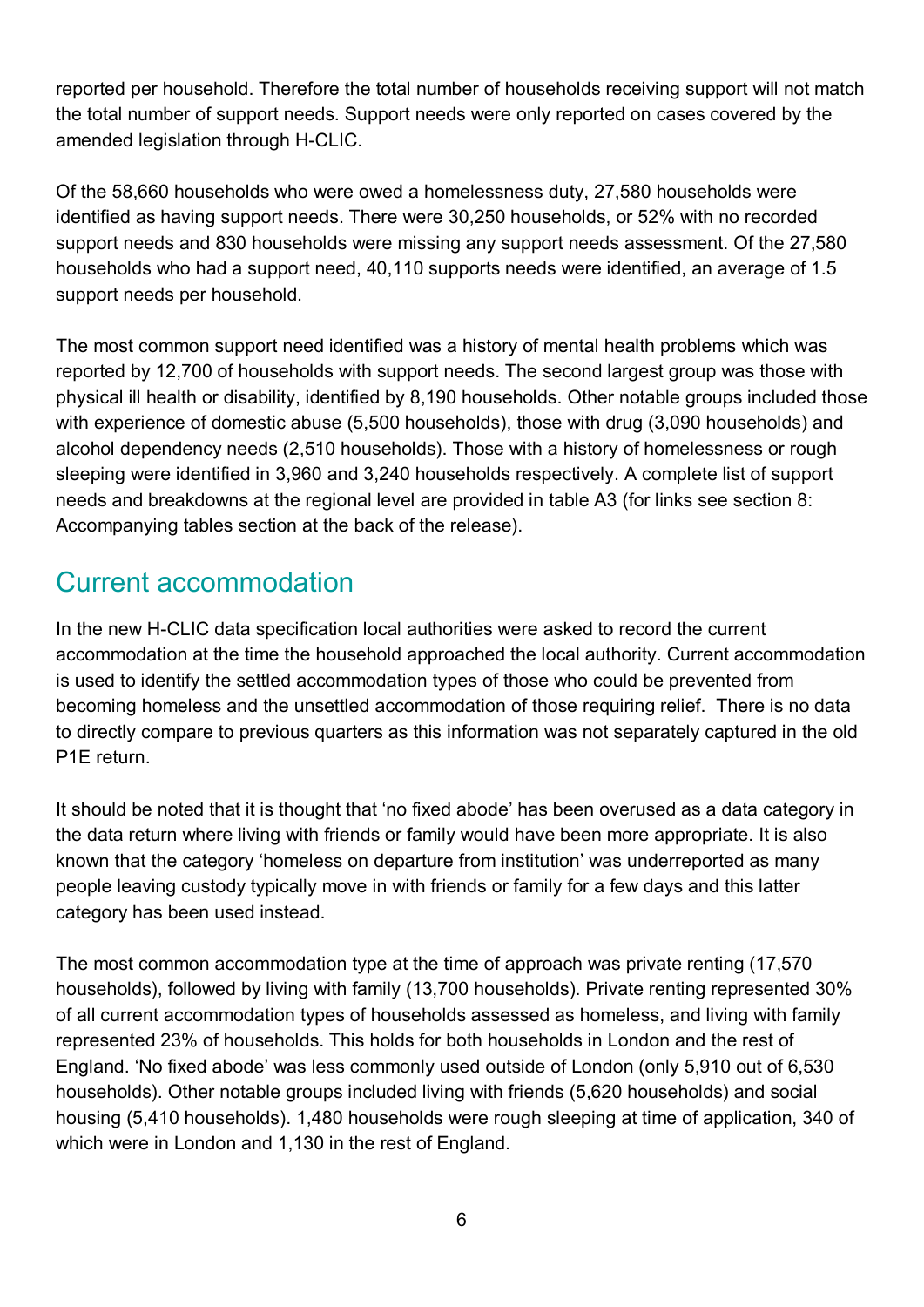reported per household. Therefore the total number of households receiving support will not match the total number of support needs. Support needs were only reported on cases covered by the amended legislation through H-CLIC.

Of the 58,660 households who were owed a homelessness duty, 27,580 households were identified as having support needs. There were 30,250 households, or 52% with no recorded support needs and 830 households were missing any support needs assessment. Of the 27,580 households who had a support need, 40,110 supports needs were identified, an average of 1.5 support needs per household.

The most common support need identified was a history of mental health problems which was reported by 12,700 of households with support needs. The second largest group was those with physical ill health or disability, identified by 8,190 households. Other notable groups included those with experience of domestic abuse (5,500 households), those with drug (3,090 households) and alcohol dependency needs (2,510 households). Those with a history of homelessness or rough sleeping were identified in 3,960 and 3,240 households respectively. A complete list of support needs and breakdowns at the regional level are provided in table A3 (for links see section 8: Accompanying tables section at the back of the release).

## Current accommodation

In the new H-CLIC data specification local authorities were asked to record the current accommodation at the time the household approached the local authority. Current accommodation is used to identify the settled accommodation types of those who could be prevented from becoming homeless and the unsettled accommodation of those requiring relief. There is no data to directly compare to previous quarters as this information was not separately captured in the old P1E return.

It should be noted that it is thought that 'no fixed abode' has been overused as a data category in the data return where living with friends or family would have been more appropriate. It is also known that the category 'homeless on departure from institution' was underreported as many people leaving custody typically move in with friends or family for a few days and this latter category has been used instead.

The most common accommodation type at the time of approach was private renting (17,570 households), followed by living with family (13,700 households). Private renting represented 30% of all current accommodation types of households assessed as homeless, and living with family represented 23% of households. This holds for both households in London and the rest of England. 'No fixed abode' was less commonly used outside of London (only 5,910 out of 6,530 households). Other notable groups included living with friends (5,620 households) and social housing (5,410 households). 1,480 households were rough sleeping at time of application, 340 of which were in London and 1,130 in the rest of England.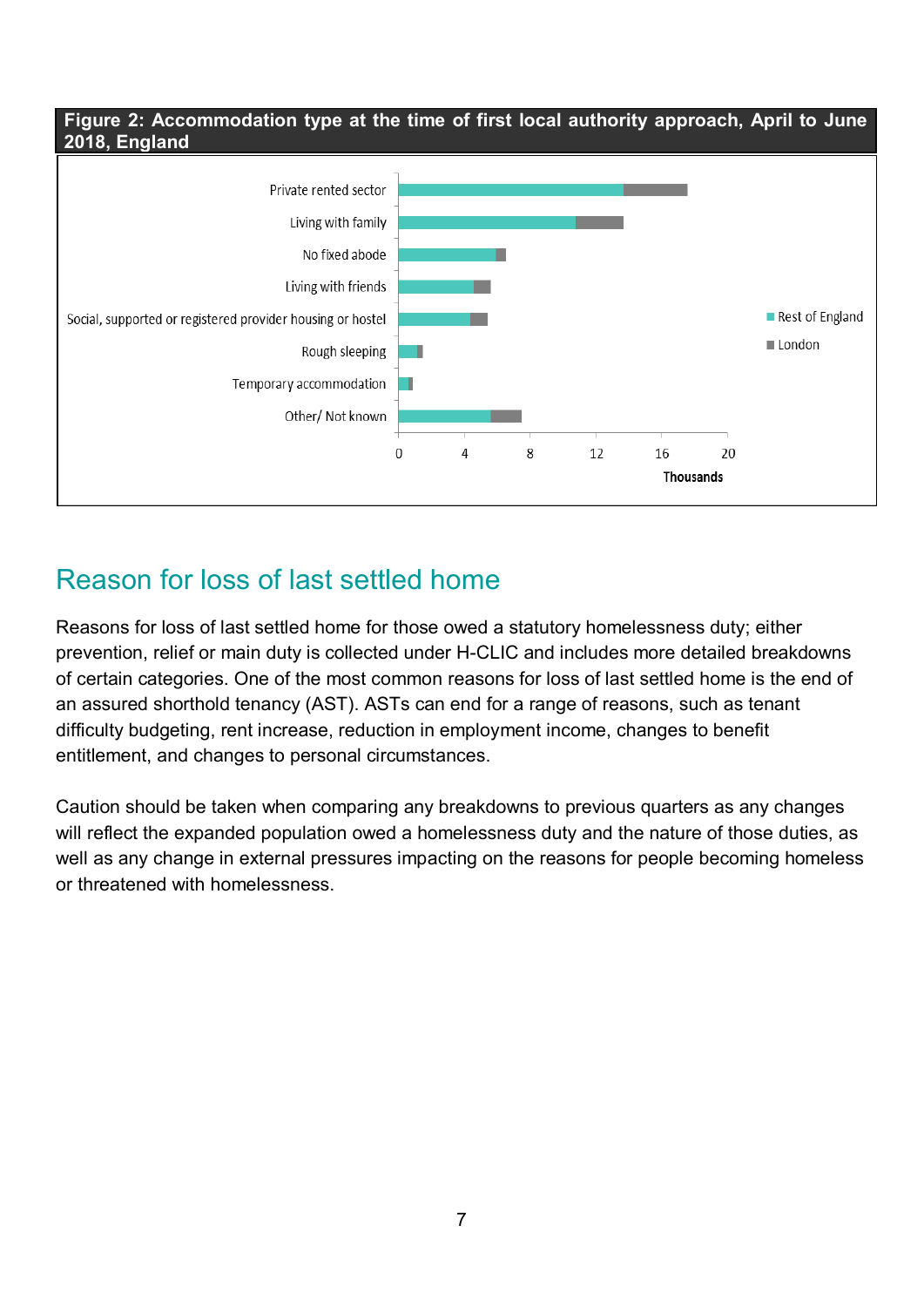#### **Figure 2: Accommodation type at the time of first local authority approach, April to June 2018, England**



## Reason for loss of last settled home

Reasons for loss of last settled home for those owed a statutory homelessness duty; either prevention, relief or main duty is collected under H-CLIC and includes more detailed breakdowns of certain categories. One of the most common reasons for loss of last settled home is the end of an assured shorthold tenancy (AST). ASTs can end for a range of reasons, such as tenant difficulty budgeting, rent increase, reduction in employment income, changes to benefit entitlement, and changes to personal circumstances.

Caution should be taken when comparing any breakdowns to previous quarters as any changes will reflect the expanded population owed a homelessness duty and the nature of those duties, as well as any change in external pressures impacting on the reasons for people becoming homeless or threatened with homelessness.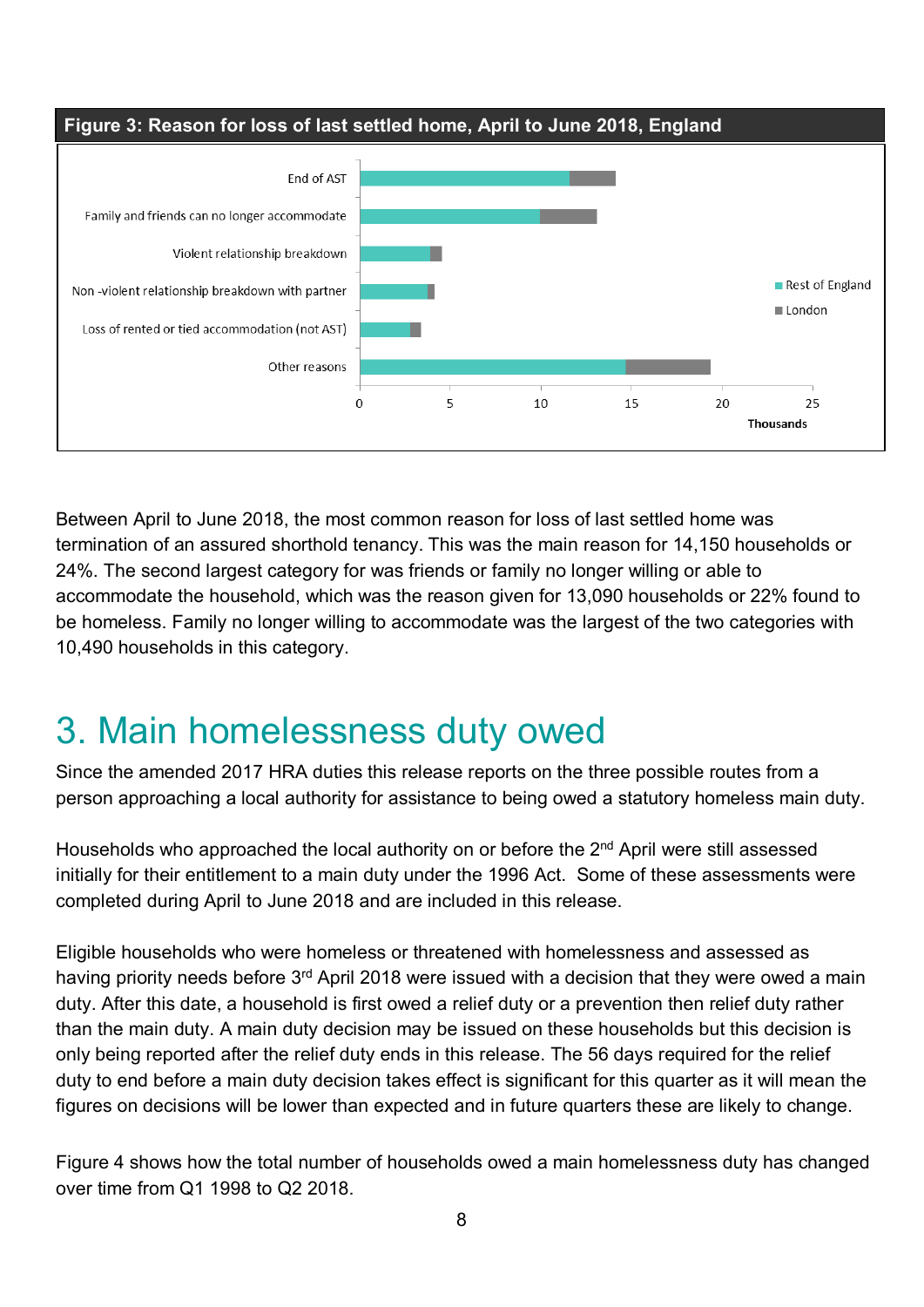

Between April to June 2018, the most common reason for loss of last settled home was termination of an assured shorthold tenancy. This was the main reason for 14,150 households or 24%. The second largest category for was friends or family no longer willing or able to accommodate the household, which was the reason given for 13,090 households or 22% found to be homeless. Family no longer willing to accommodate was the largest of the two categories with 10,490 households in this category.

# 3. Main homelessness duty owed

Since the amended 2017 HRA duties this release reports on the three possible routes from a person approaching a local authority for assistance to being owed a statutory homeless main duty.

Households who approached the local authority on or before the 2<sup>nd</sup> April were still assessed initially for their entitlement to a main duty under the 1996 Act. Some of these assessments were completed during April to June 2018 and are included in this release.

Eligible households who were homeless or threatened with homelessness and assessed as having priority needs before 3<sup>rd</sup> April 2018 were issued with a decision that they were owed a main duty. After this date, a household is first owed a relief duty or a prevention then relief duty rather than the main duty. A main duty decision may be issued on these households but this decision is only being reported after the relief duty ends in this release. The 56 days required for the relief duty to end before a main duty decision takes effect is significant for this quarter as it will mean the figures on decisions will be lower than expected and in future quarters these are likely to change.

[Figure 4](#page-8-0) shows how the total number of households owed a main homelessness duty has changed over time from Q1 1998 to Q2 2018.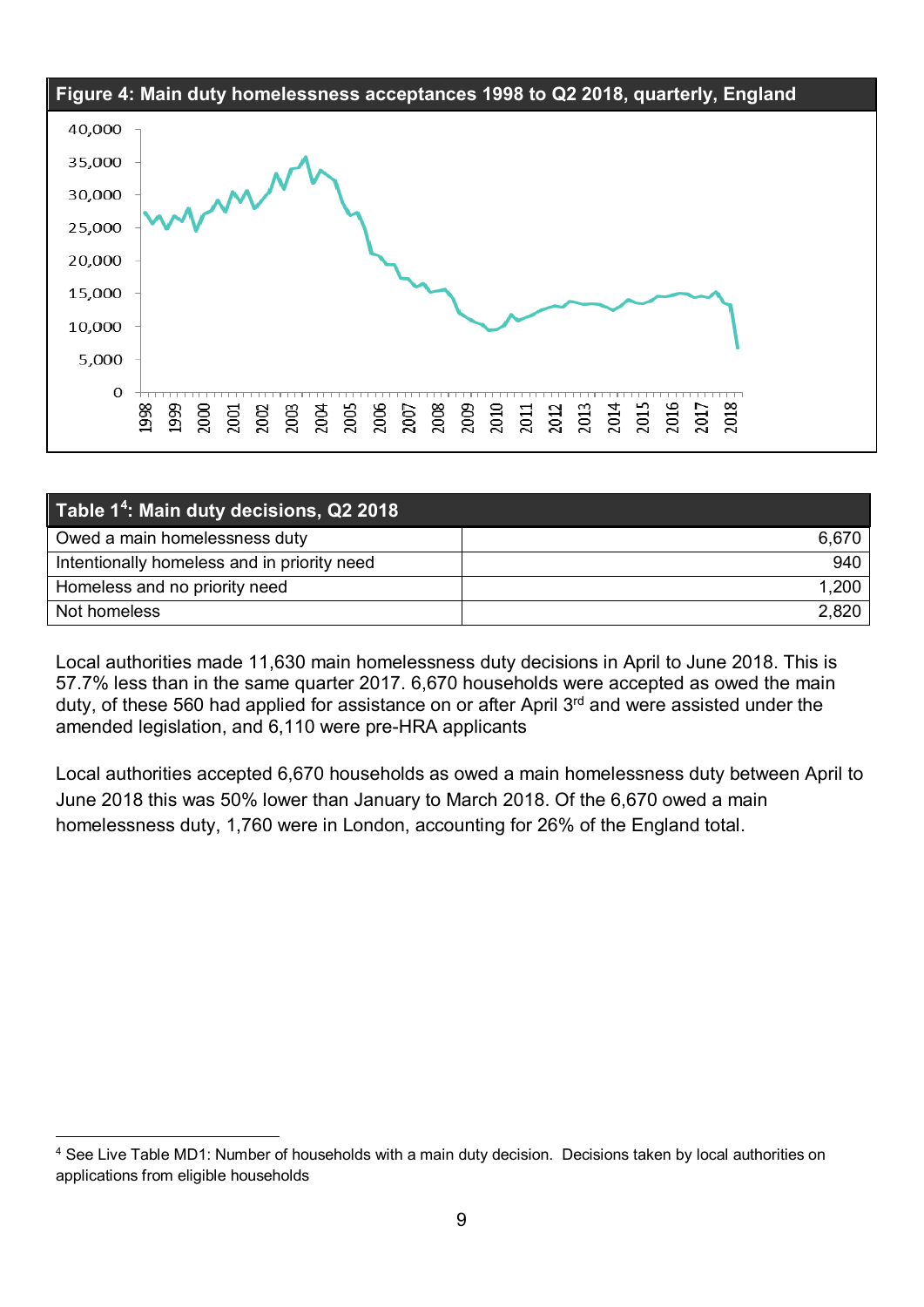<span id="page-8-0"></span>

| Table 1 <sup>4</sup> : Main duty decisions, Q2 2018 |       |  |  |  |
|-----------------------------------------------------|-------|--|--|--|
| Owed a main homelessness duty                       | 6,670 |  |  |  |
| Intentionally homeless and in priority need         | 940   |  |  |  |
| Homeless and no priority need                       | 1,200 |  |  |  |
| Not homeless                                        | 2,820 |  |  |  |

Local authorities made 11,630 main homelessness duty decisions in April to June 2018. This is 57.7% less than in the same quarter 2017. 6,670 households were accepted as owed the main duty, of these 560 had applied for assistance on or after April 3rd and were assisted under the amended legislation, and 6,110 were pre-HRA applicants

Local authorities accepted 6,670 households as owed a main homelessness duty between April to June 2018 this was 50% lower than January to March 2018. Of the 6,670 owed a main homelessness duty, 1,760 were in London, accounting for 26% of the England total.

<span id="page-8-1"></span> <sup>4</sup> See Live Table MD1: Number of households with a main duty decision. Decisions taken by local authorities on applications from eligible households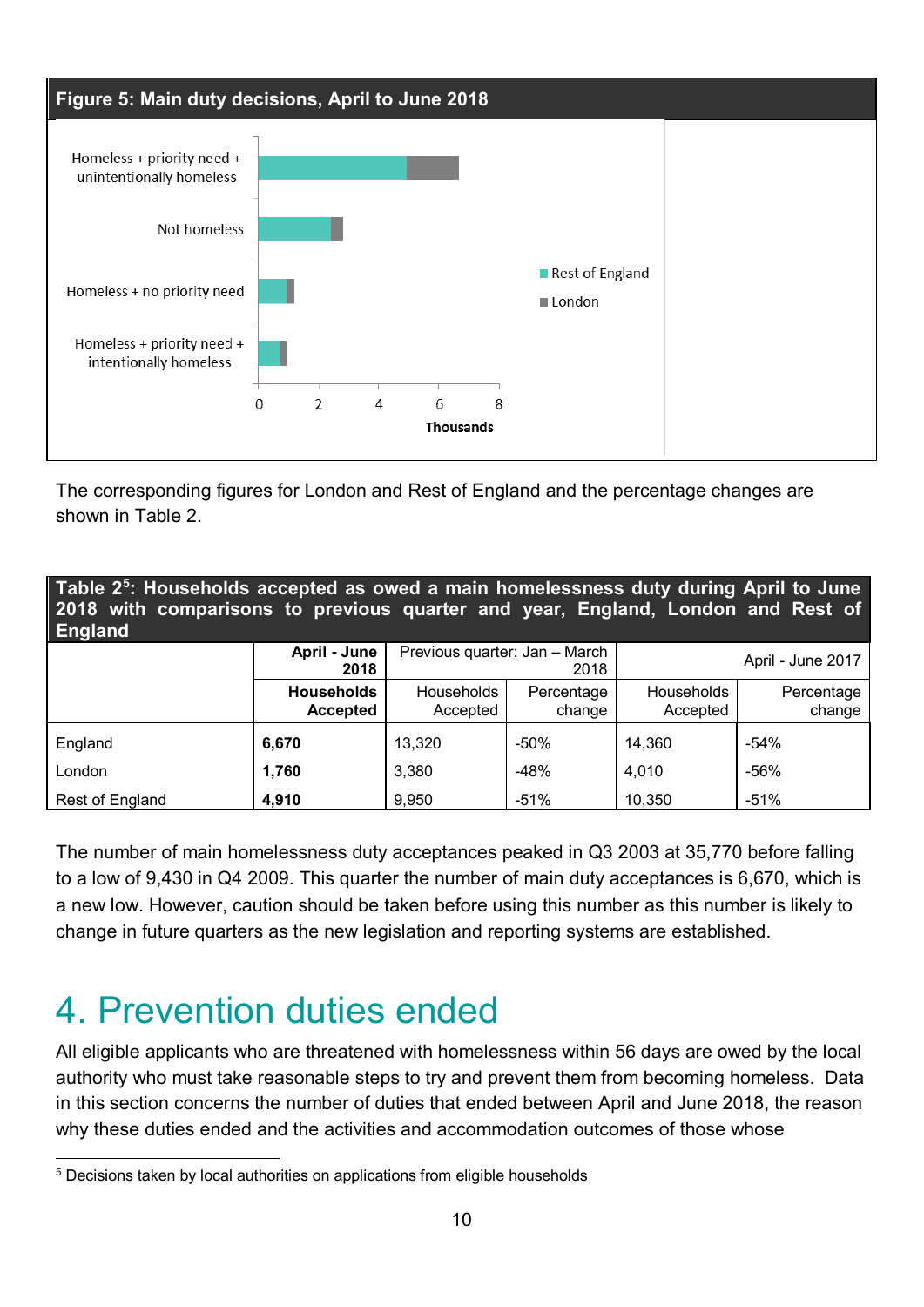

The corresponding figures for London and Rest of England and the percentage changes are shown in [Table 2.](#page-9-0)

<span id="page-9-0"></span>

| Table 2 <sup>5</sup> : Households accepted as owed a main homelessness duty during April to June<br>2018 with comparisons to previous quarter and year, England, London and Rest of<br><b>England</b> |                                      |                               |                      |                               |                      |  |  |
|-------------------------------------------------------------------------------------------------------------------------------------------------------------------------------------------------------|--------------------------------------|-------------------------------|----------------------|-------------------------------|----------------------|--|--|
|                                                                                                                                                                                                       | April - June<br>2018                 | Previous quarter: Jan - March | 2018                 | April - June 2017             |                      |  |  |
|                                                                                                                                                                                                       | <b>Households</b><br><b>Accepted</b> | <b>Households</b><br>Accepted | Percentage<br>change | <b>Households</b><br>Accepted | Percentage<br>change |  |  |
| England                                                                                                                                                                                               | 6,670                                | 13,320                        | $-50%$               | 14,360                        | $-54%$               |  |  |
| London                                                                                                                                                                                                | 1,760                                | 3,380                         | $-48%$               | 4,010                         | $-56%$               |  |  |
| Rest of England                                                                                                                                                                                       | 4,910                                | 9,950                         | $-51%$               | 10,350                        | $-51%$               |  |  |

The number of main homelessness duty acceptances peaked in Q3 2003 at 35,770 before falling to a low of 9,430 in Q4 2009. This quarter the number of main duty acceptances is 6,670, which is a new low. However, caution should be taken before using this number as this number is likely to change in future quarters as the new legislation and reporting systems are established.

# 4. Prevention duties ended

All eligible applicants who are threatened with homelessness within 56 days are owed by the local authority who must take reasonable steps to try and prevent them from becoming homeless. Data in this section concerns the number of duties that ended between April and June 2018, the reason why these duties ended and the activities and accommodation outcomes of those whose

<span id="page-9-1"></span><sup>&</sup>lt;sup>5</sup> Decisions taken by local authorities on applications from eligible households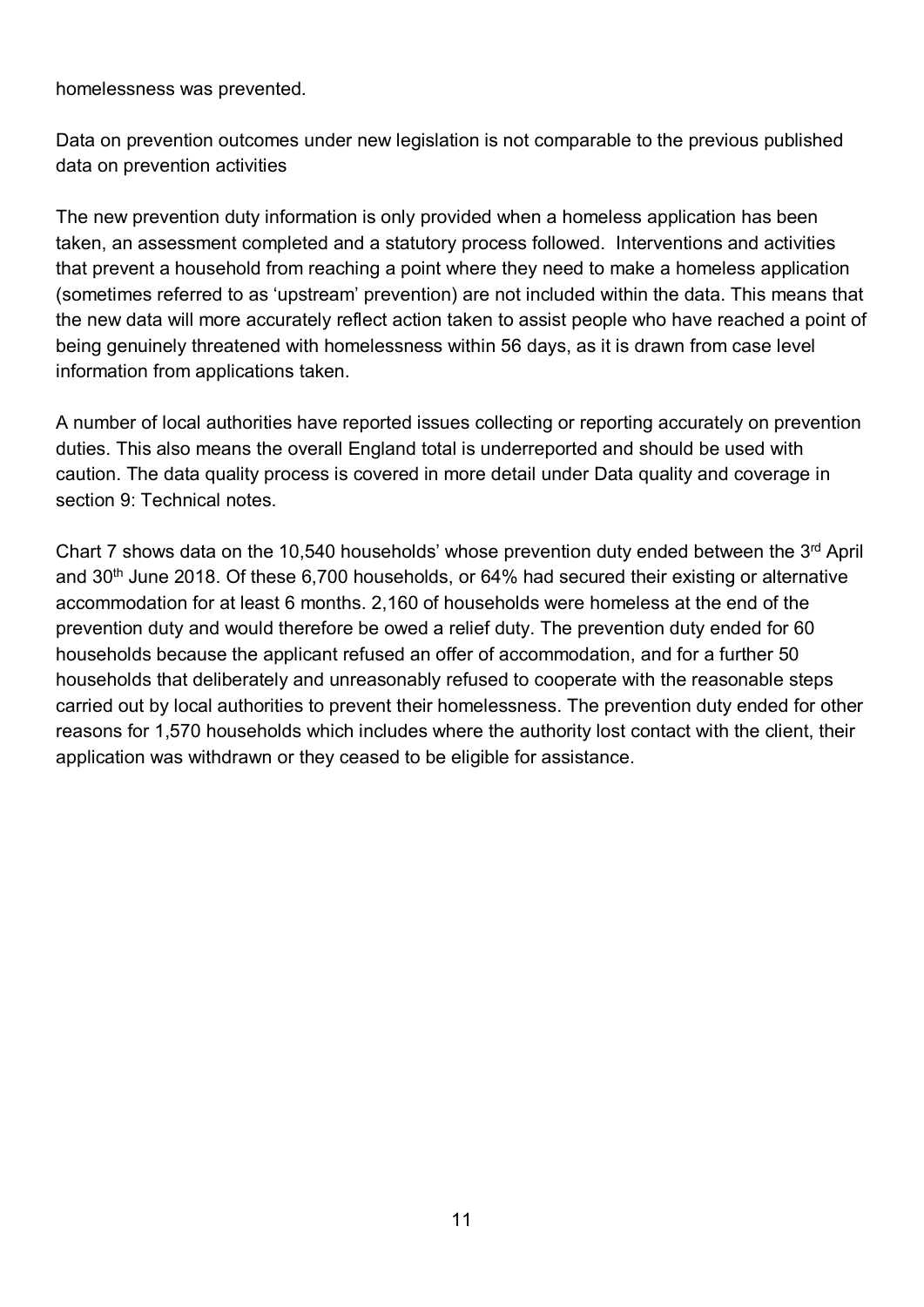homelessness was prevented.

Data on prevention outcomes under new legislation is not comparable to the previous published data on prevention activities

The new prevention duty information is only provided when a homeless application has been taken, an assessment completed and a statutory process followed. Interventions and activities that prevent a household from reaching a point where they need to make a homeless application (sometimes referred to as 'upstream' prevention) are not included within the data. This means that the new data will more accurately reflect action taken to assist people who have reached a point of being genuinely threatened with homelessness within 56 days, as it is drawn from case level information from applications taken.

A number of local authorities have reported issues collecting or reporting accurately on prevention duties. This also means the overall England total is underreported and should be used with caution. The data quality process is covered in more detail under Data quality and coverage in section 9: Technical notes.

Chart 7 shows data on the 10,540 households' whose prevention duty ended between the 3rd April and 30<sup>th</sup> June 2018. Of these 6,700 households, or 64% had secured their existing or alternative accommodation for at least 6 months. 2,160 of households were homeless at the end of the prevention duty and would therefore be owed a relief duty. The prevention duty ended for 60 households because the applicant refused an offer of accommodation, and for a further 50 households that deliberately and unreasonably refused to cooperate with the reasonable steps carried out by local authorities to prevent their homelessness. The prevention duty ended for other reasons for 1,570 households which includes where the authority lost contact with the client, their application was withdrawn or they ceased to be eligible for assistance.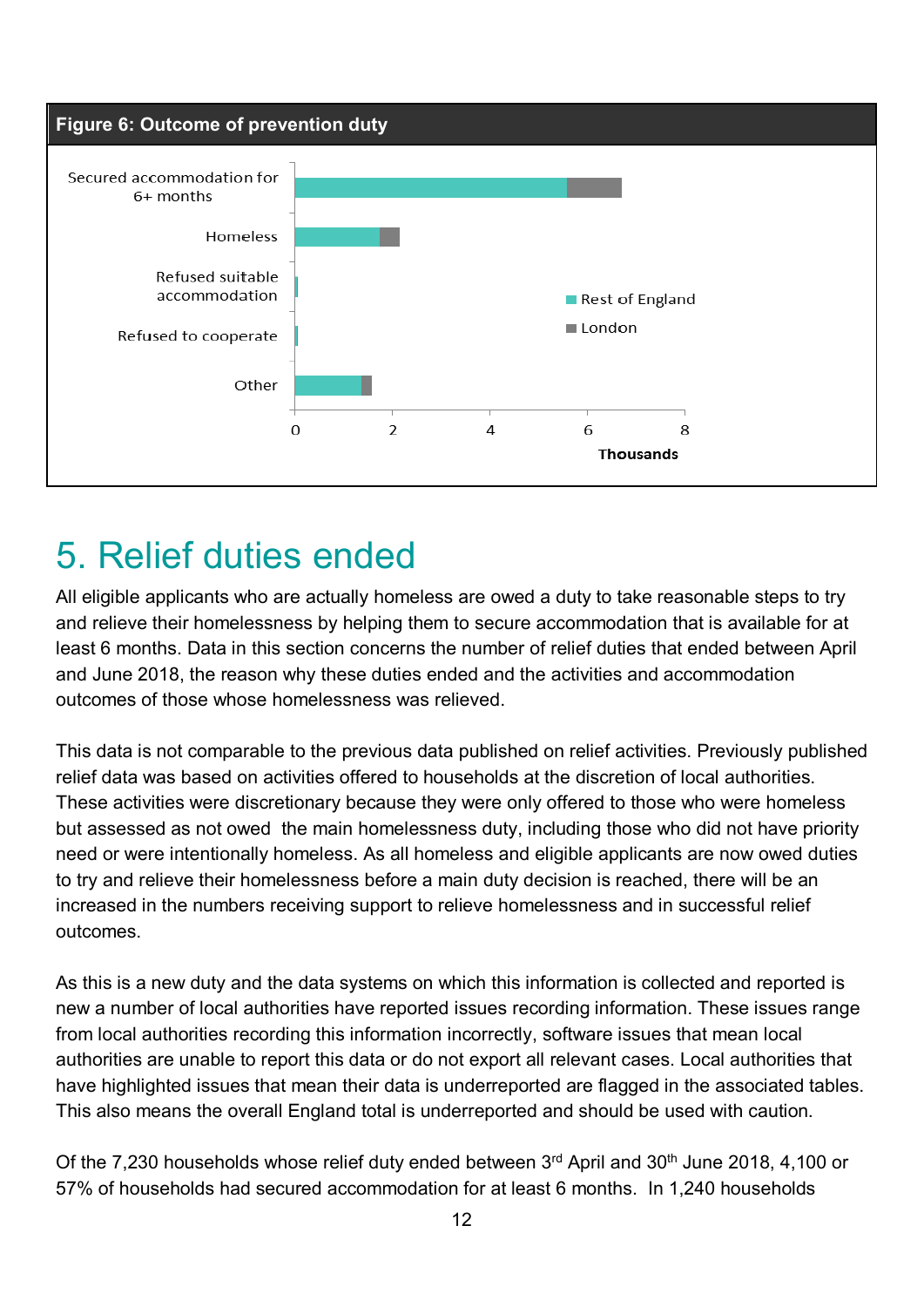

# 5. Relief duties ended

All eligible applicants who are actually homeless are owed a duty to take reasonable steps to try and relieve their homelessness by helping them to secure accommodation that is available for at least 6 months. Data in this section concerns the number of relief duties that ended between April and June 2018, the reason why these duties ended and the activities and accommodation outcomes of those whose homelessness was relieved.

This data is not comparable to the previous data published on relief activities. Previously published relief data was based on activities offered to households at the discretion of local authorities. These activities were discretionary because they were only offered to those who were homeless but assessed as not owed the main homelessness duty, including those who did not have priority need or were intentionally homeless. As all homeless and eligible applicants are now owed duties to try and relieve their homelessness before a main duty decision is reached, there will be an increased in the numbers receiving support to relieve homelessness and in successful relief outcomes.

As this is a new duty and the data systems on which this information is collected and reported is new a number of local authorities have reported issues recording information. These issues range from local authorities recording this information incorrectly, software issues that mean local authorities are unable to report this data or do not export all relevant cases. Local authorities that have highlighted issues that mean their data is underreported are flagged in the associated tables. This also means the overall England total is underreported and should be used with caution.

Of the 7,230 households whose relief duty ended between 3rd April and 30<sup>th</sup> June 2018, 4,100 or 57% of households had secured accommodation for at least 6 months. In 1,240 households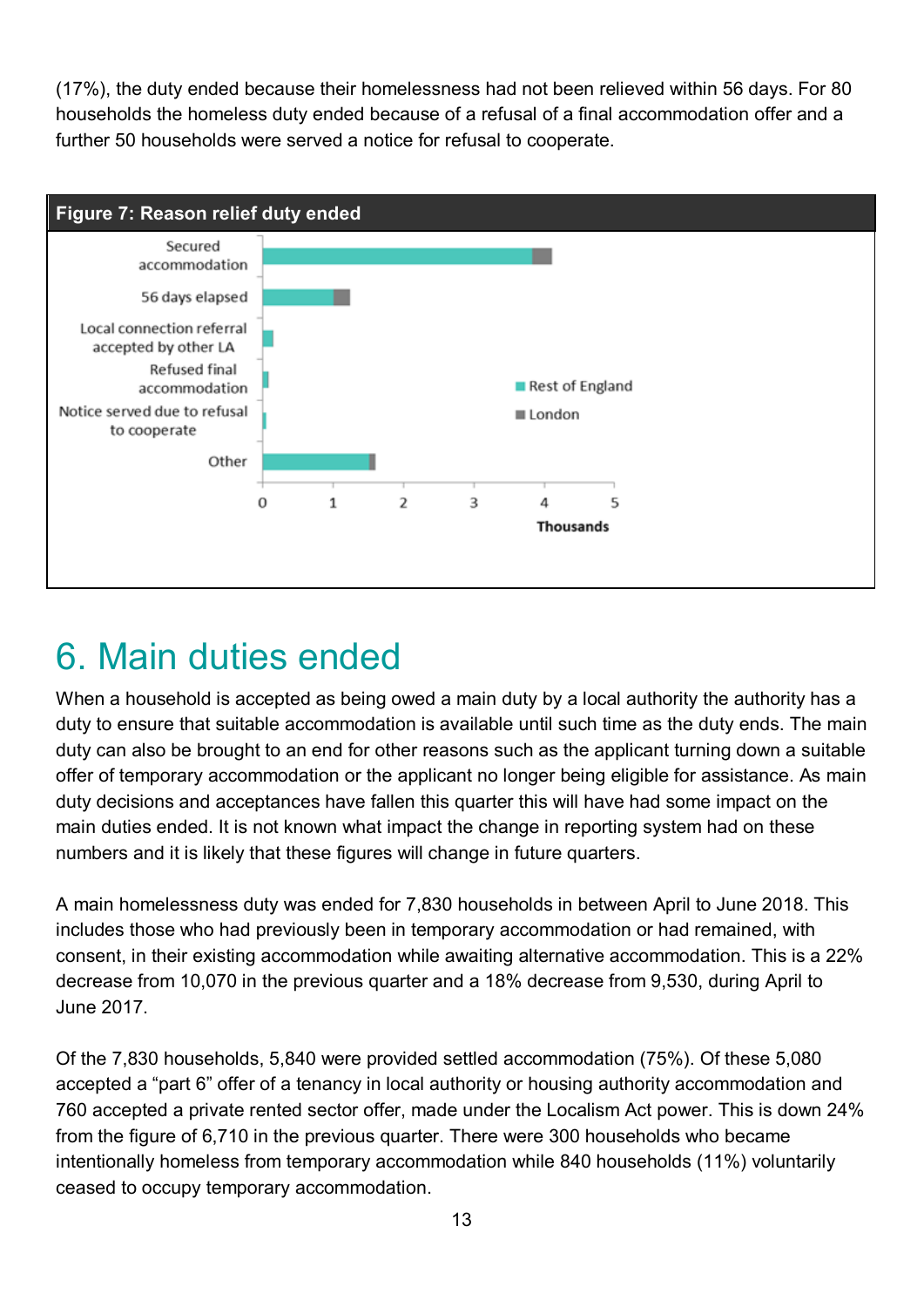(17%), the duty ended because their homelessness had not been relieved within 56 days. For 80 households the homeless duty ended because of a refusal of a final accommodation offer and a further 50 households were served a notice for refusal to cooperate.



# 6. Main duties ended

When a household is accepted as being owed a main duty by a local authority the authority has a duty to ensure that suitable accommodation is available until such time as the duty ends. The main duty can also be brought to an end for other reasons such as the applicant turning down a suitable offer of temporary accommodation or the applicant no longer being eligible for assistance. As main duty decisions and acceptances have fallen this quarter this will have had some impact on the main duties ended. It is not known what impact the change in reporting system had on these numbers and it is likely that these figures will change in future quarters.

A main homelessness duty was ended for 7,830 households in between April to June 2018. This includes those who had previously been in temporary accommodation or had remained, with consent, in their existing accommodation while awaiting alternative accommodation. This is a 22% decrease from 10,070 in the previous quarter and a 18% decrease from 9,530, during April to June 2017.

Of the 7,830 households, 5,840 were provided settled accommodation (75%). Of these 5,080 accepted a "part 6" offer of a tenancy in local authority or housing authority accommodation and 760 accepted a private rented sector offer, made under the Localism Act power. This is down 24% from the figure of 6,710 in the previous quarter. There were 300 households who became intentionally homeless from temporary accommodation while 840 households (11%) voluntarily ceased to occupy temporary accommodation.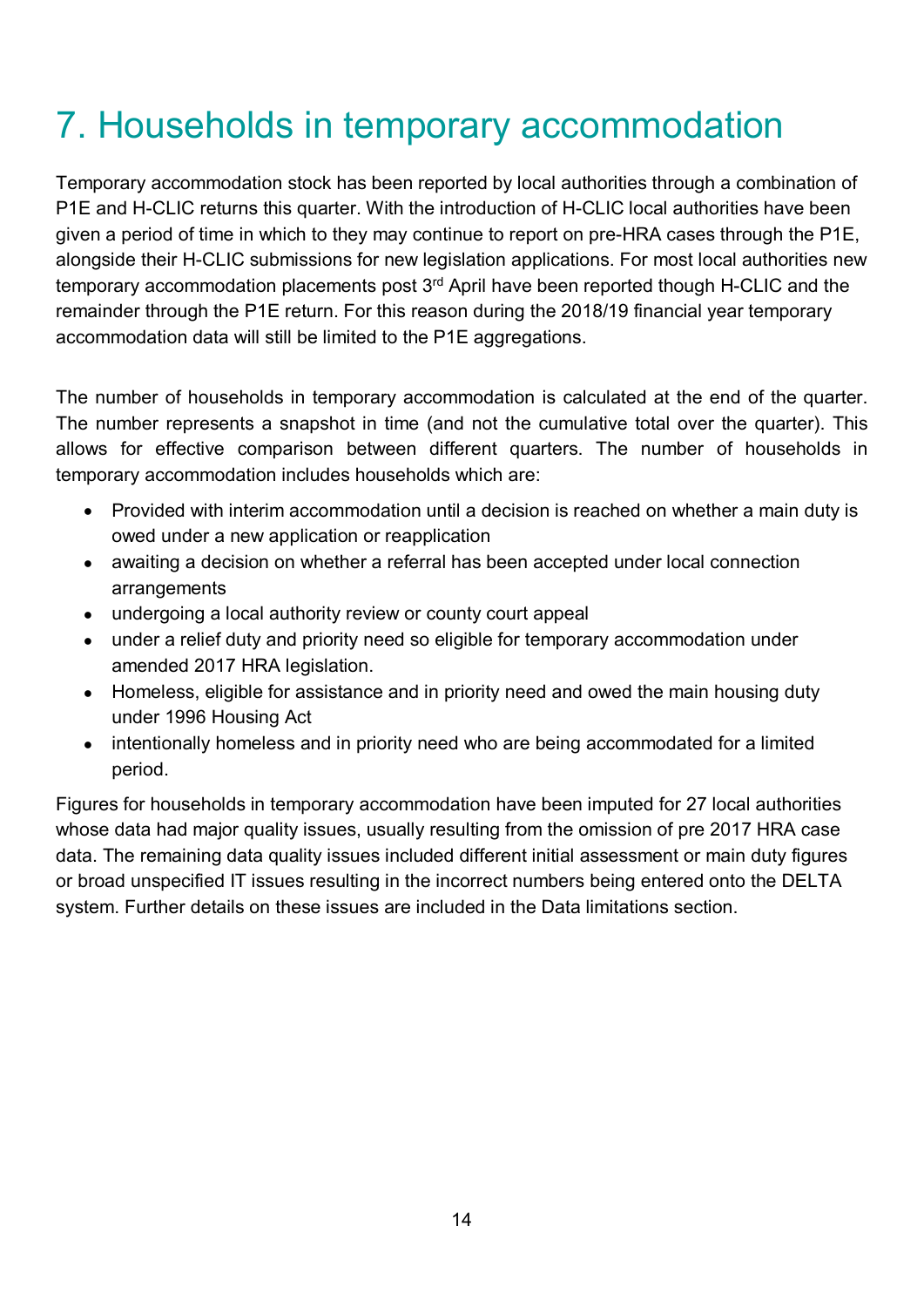# 7. Households in temporary accommodation

Temporary accommodation stock has been reported by local authorities through a combination of P1E and H-CLIC returns this quarter. With the introduction of H-CLIC local authorities have been given a period of time in which to they may continue to report on pre-HRA cases through the P1E, alongside their H-CLIC submissions for new legislation applications. For most local authorities new temporary accommodation placements post 3<sup>rd</sup> April have been reported though H-CLIC and the remainder through the P1E return. For this reason during the 2018/19 financial year temporary accommodation data will still be limited to the P1E aggregations.

The number of households in temporary accommodation is calculated at the end of the quarter. The number represents a snapshot in time (and not the cumulative total over the quarter). This allows for effective comparison between different quarters. The number of households in temporary accommodation includes households which are:

- Provided with interim accommodation until a decision is reached on whether a main duty is owed under a new application or reapplication
- awaiting a decision on whether a referral has been accepted under local connection arrangements
- undergoing a local authority review or county court appeal
- under a relief duty and priority need so eligible for temporary accommodation under amended 2017 HRA legislation.
- Homeless, eligible for assistance and in priority need and owed the main housing duty under 1996 Housing Act
- intentionally homeless and in priority need who are being accommodated for a limited period.

Figures for households in temporary accommodation have been imputed for 27 local authorities whose data had major quality issues, usually resulting from the omission of pre 2017 HRA case data. The remaining data quality issues included different initial assessment or main duty figures or broad unspecified IT issues resulting in the incorrect numbers being entered onto the DELTA system. Further details on these issues are included in the Data limitations section.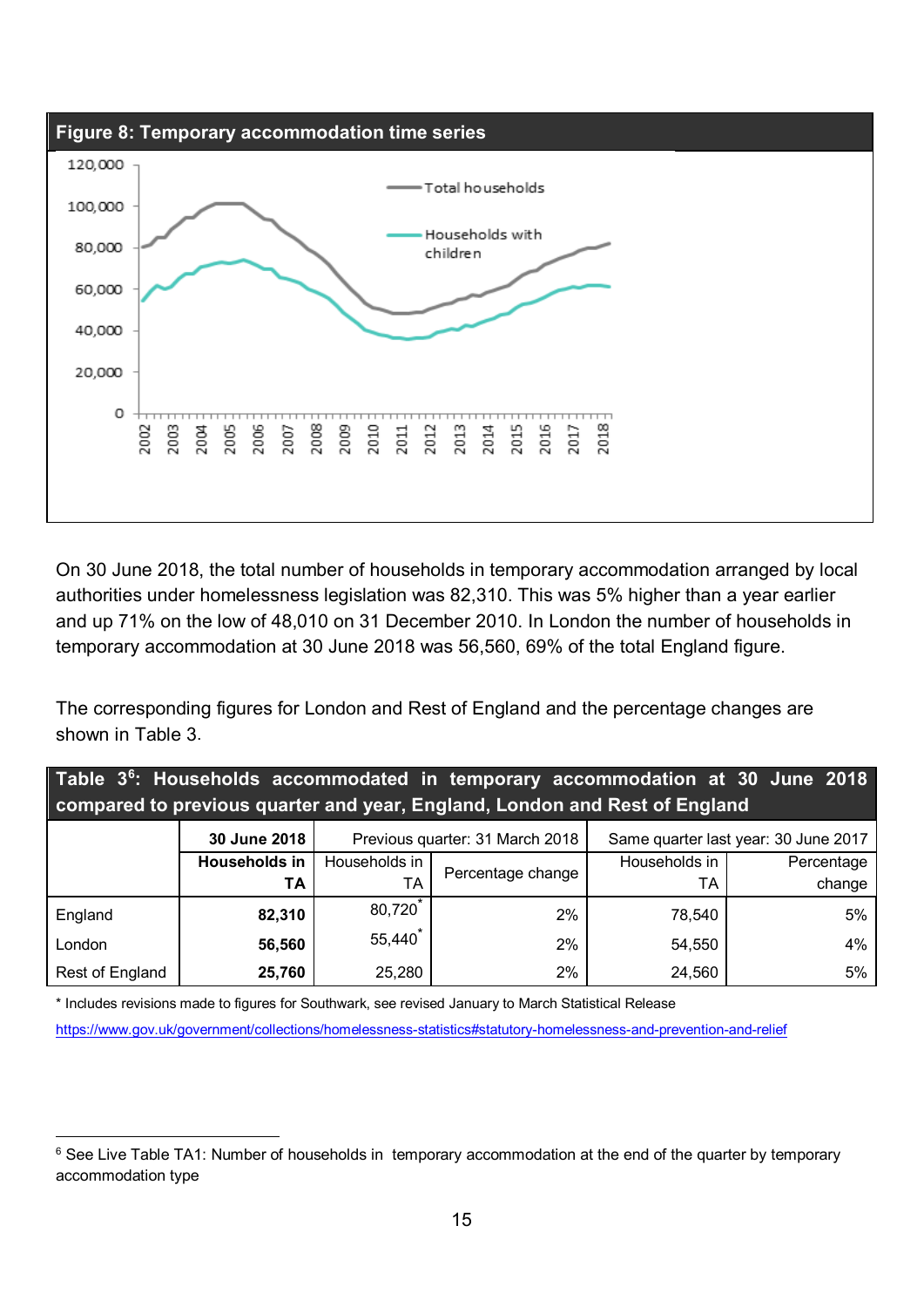

On 30 June 2018, the total number of households in temporary accommodation arranged by local authorities under homelessness legislation was 82,310. This was 5% higher than a year earlier and up 71% on the low of 48,010 on 31 December 2010. In London the number of households in temporary accommodation at 30 June 2018 was 56,560, 69% of the total England figure.

The corresponding figures for London and Rest of England and the percentage changes are shown in [Table 3.](#page-14-0)

<span id="page-14-0"></span>

| Table 3 <sup>6</sup> : Households accommodated in temporary accommodation at 30 June 2018<br>compared to previous quarter and year, England, London and Rest of England |                      |               |                                 |                                      |            |  |  |
|-------------------------------------------------------------------------------------------------------------------------------------------------------------------------|----------------------|---------------|---------------------------------|--------------------------------------|------------|--|--|
|                                                                                                                                                                         | 30 June 2018         |               | Previous quarter: 31 March 2018 | Same quarter last year: 30 June 2017 |            |  |  |
|                                                                                                                                                                         | <b>Households in</b> | Households in | Percentage change               | Households in                        | Percentage |  |  |
|                                                                                                                                                                         | ΤA                   | TA            |                                 | ТA                                   | change     |  |  |
| England                                                                                                                                                                 | 82,310               | 80,720        | 2%                              | 78,540                               | 5%         |  |  |
| London                                                                                                                                                                  | 56,560               | 55,440        | 2%                              | 54,550                               | 4%         |  |  |
| Rest of England                                                                                                                                                         | 25,760               | 25,280        | 2%                              | 24,560                               | 5%         |  |  |

\* Includes revisions made to figures for Southwark, see revised January to March Statistical Release <https://www.gov.uk/government/collections/homelessness-statistics#statutory-homelessness-and-prevention-and-relief>

<span id="page-14-1"></span><sup>&</sup>lt;sup>6</sup> See Live Table TA1: Number of households in temporary accommodation at the end of the quarter by temporary accommodation type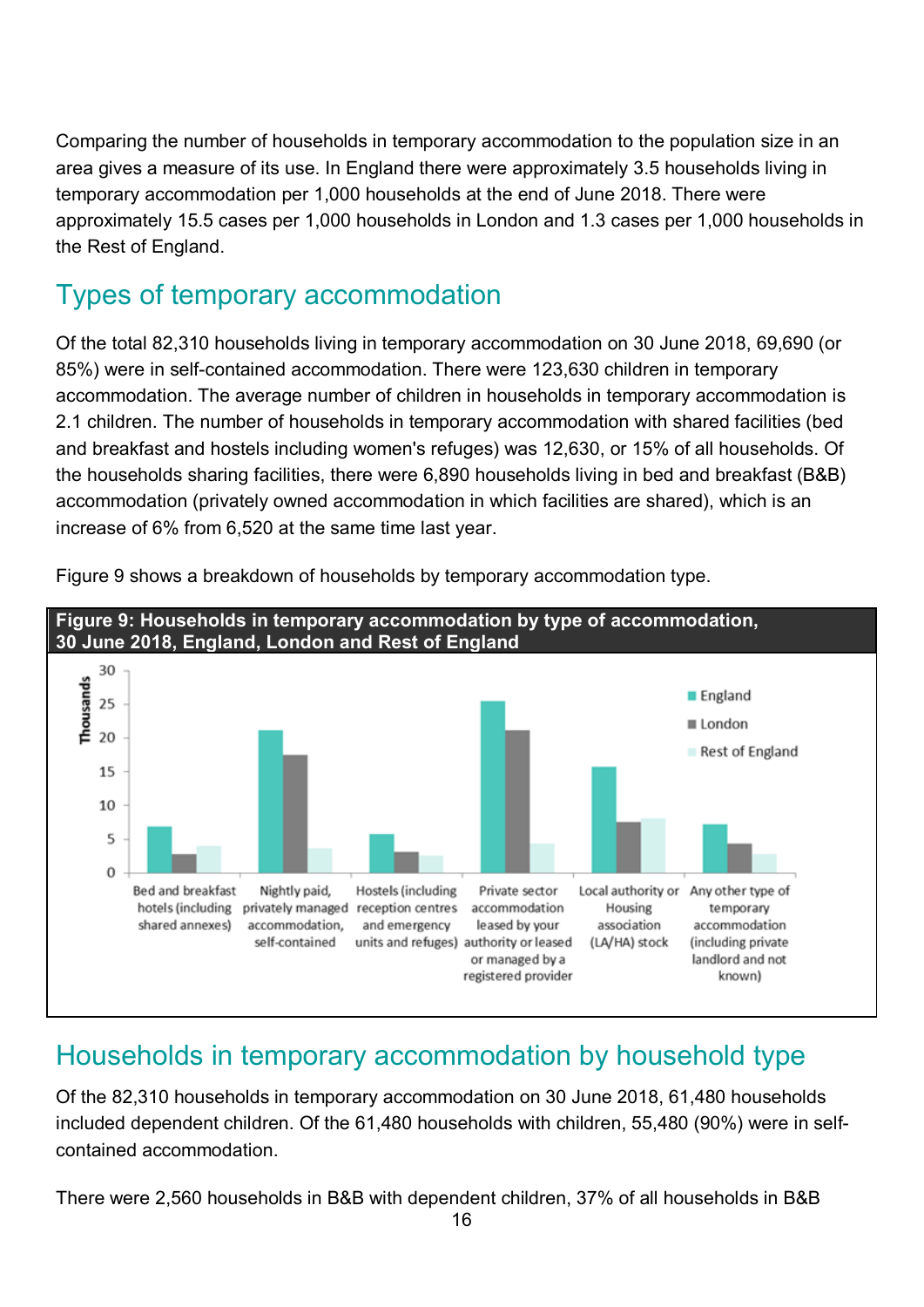Comparing the number of households in temporary accommodation to the population size in an area gives a measure of its use. In England there were approximately 3.5 households living in temporary accommodation per 1,000 households at the end of June 2018. There were approximately 15.5 cases per 1,000 households in London and 1.3 cases per 1,000 households in the Rest of England.

## Types of temporary accommodation

Of the total 82,310 households living in temporary accommodation on 30 June 2018, 69,690 (or 85%) were in self-contained accommodation. There were 123,630 children in temporary accommodation. The average number of children in households in temporary accommodation is 2.1 children. The number of households in temporary accommodation with shared facilities (bed and breakfast and hostels including women's refuges) was 12,630, or 15% of all households. Of the households sharing facilities, there were 6,890 households living in bed and breakfast (B&B) accommodation (privately owned accommodation in which facilities are shared), which is an increase of 6% from 6,520 at the same time last year.

<span id="page-15-0"></span>

[Figure 9](#page-15-0) shows a breakdown of households by temporary accommodation type.

## Households in temporary accommodation by household type

Of the 82,310 households in temporary accommodation on 30 June 2018, 61,480 households included dependent children. Of the 61,480 households with children, 55,480 (90%) were in selfcontained accommodation.

There were 2,560 households in B&B with dependent children, 37% of all households in B&B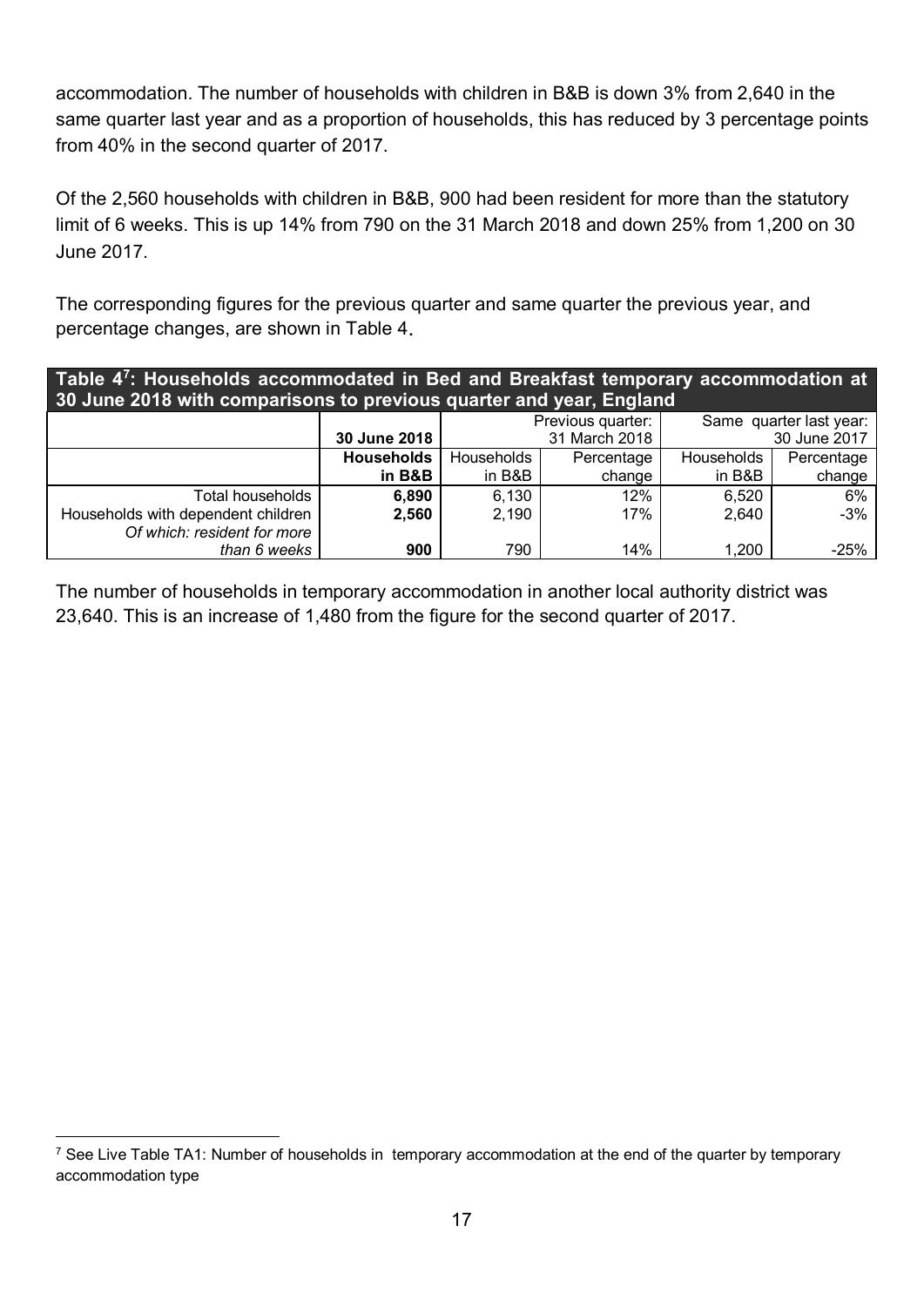accommodation. The number of households with children in B&B is down 3% from 2,640 in the same quarter last year and as a proportion of households, this has reduced by 3 percentage points from 40% in the second quarter of 2017.

Of the 2,560 households with children in B&B, 900 had been resident for more than the statutory limit of 6 weeks. This is up 14% from 790 on the 31 March 2018 and down 25% from 1,200 on 30 June 2017.

The corresponding figures for the previous quarter and same quarter the previous year, and percentage changes, are shown in Table 4.

| Table 4 <sup>7</sup> : Households accommodated in Bed and Breakfast temporary accommodation at<br>30 June 2018 with comparisons to previous quarter and year, England |                   |            |                   |                         |            |  |
|-----------------------------------------------------------------------------------------------------------------------------------------------------------------------|-------------------|------------|-------------------|-------------------------|------------|--|
|                                                                                                                                                                       |                   |            | Previous quarter: | Same quarter last year: |            |  |
|                                                                                                                                                                       | 30 June 2018      |            | 31 March 2018     | 30 June 2017            |            |  |
|                                                                                                                                                                       | <b>Households</b> | Households | Percentage        | Households              | Percentage |  |
|                                                                                                                                                                       | in B&B            | in B&B     | change            | in B&B                  | change     |  |
| Total households                                                                                                                                                      | 6,890             | 6,130      | 12%               | 6,520                   | 6%         |  |
| Households with dependent children                                                                                                                                    | 2,560             | 2,190      | 17%               | 2,640                   | $-3%$      |  |
| Of which: resident for more                                                                                                                                           |                   |            |                   |                         |            |  |
| than 6 weeks                                                                                                                                                          | 900               | 790        | 14%               | 1,200                   | $-25%$     |  |

The number of households in temporary accommodation in another local authority district was 23,640. This is an increase of 1,480 from the figure for the second quarter of 2017.

<span id="page-16-0"></span><sup>&</sup>lt;sup>7</sup> See Live Table TA1: Number of households in temporary accommodation at the end of the quarter by temporary accommodation type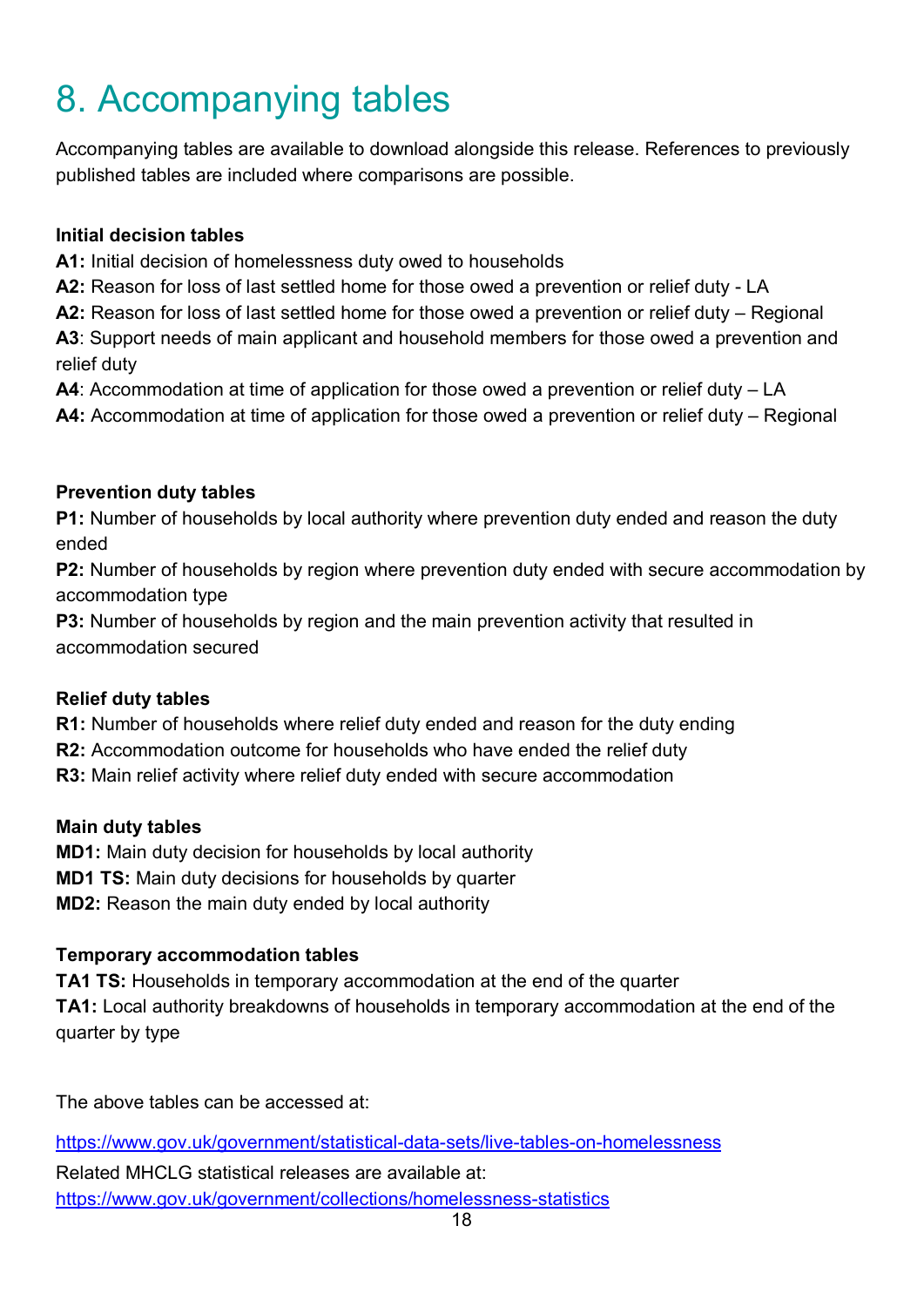# 8. Accompanying tables

Accompanying tables are available to download alongside this release. References to previously published tables are included where comparisons are possible.

#### **Initial decision tables**

**A1:** Initial decision of homelessness duty owed to households

**A2:** Reason for loss of last settled home for those owed a prevention or relief duty - LA

**A2:** Reason for loss of last settled home for those owed a prevention or relief duty – Regional

**A3**: Support needs of main applicant and household members for those owed a prevention and relief duty

**A4**: Accommodation at time of application for those owed a prevention or relief duty – LA

**A4:** Accommodation at time of application for those owed a prevention or relief duty – Regional

### **Prevention duty tables**

**P1:** Number of households by local authority where prevention duty ended and reason the duty ended

**P2:** Number of households by region where prevention duty ended with secure accommodation by accommodation type

**P3:** Number of households by region and the main prevention activity that resulted in accommodation secured

### **Relief duty tables**

**R1:** Number of households where relief duty ended and reason for the duty ending

**R2:** Accommodation outcome for households who have ended the relief duty

**R3:** Main relief activity where relief duty ended with secure accommodation

### **Main duty tables**

**MD1:** Main duty decision for households by local authority

**MD1 TS:** Main duty decisions for households by quarter

**MD2:** Reason the main duty ended by local authority

### **Temporary accommodation tables**

**TA1 TS:** Households in temporary accommodation at the end of the quarter **TA1:** Local authority breakdowns of households in temporary accommodation at the end of the quarter by type

The above tables can be accessed at:

<https://www.gov.uk/government/statistical-data-sets/live-tables-on-homelessness>

Related MHCLG statistical releases are available at: <https://www.gov.uk/government/collections/homelessness-statistics>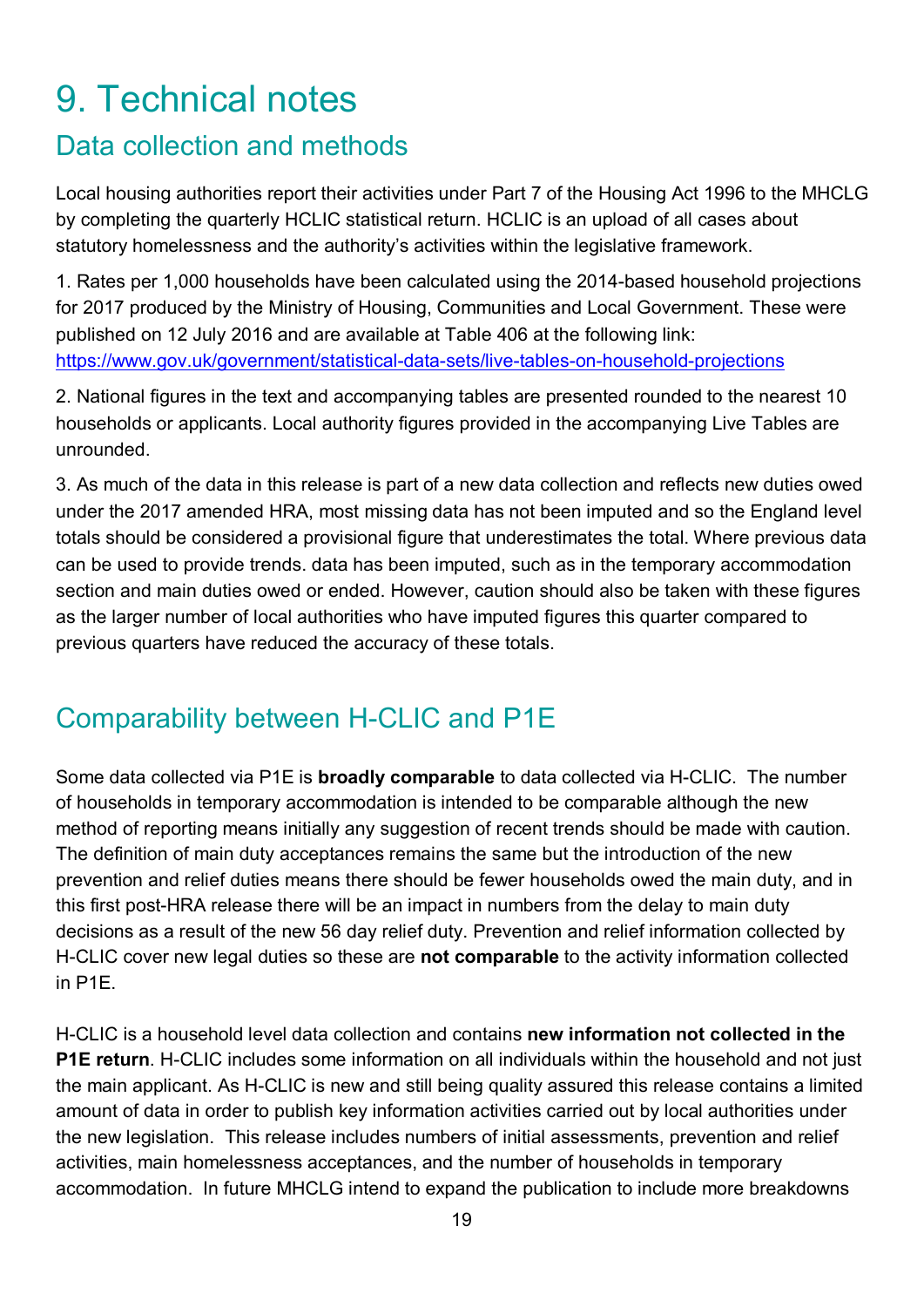# 9. Technical notes

## Data collection and methods

Local housing authorities report their activities under Part 7 of the Housing Act 1996 to the MHCLG by completing the quarterly HCLIC statistical return. HCLIC is an upload of all cases about statutory homelessness and the authority's activities within the legislative framework.

1. Rates per 1,000 households have been calculated using the 2014-based household projections for 2017 produced by the Ministry of Housing, Communities and Local Government. These were published on 12 July 2016 and are available at Table 406 at the following link: <https://www.gov.uk/government/statistical-data-sets/live-tables-on-household-projections>

2. National figures in the text and accompanying tables are presented rounded to the nearest 10 households or applicants. Local authority figures provided in the accompanying Live Tables are unrounded.

3. As much of the data in this release is part of a new data collection and reflects new duties owed under the 2017 amended HRA, most missing data has not been imputed and so the England level totals should be considered a provisional figure that underestimates the total. Where previous data can be used to provide trends. data has been imputed, such as in the temporary accommodation section and main duties owed or ended. However, caution should also be taken with these figures as the larger number of local authorities who have imputed figures this quarter compared to previous quarters have reduced the accuracy of these totals.

## Comparability between H-CLIC and P1E

Some data collected via P1E is **broadly comparable** to data collected via H-CLIC. The number of households in temporary accommodation is intended to be comparable although the new method of reporting means initially any suggestion of recent trends should be made with caution. The definition of main duty acceptances remains the same but the introduction of the new prevention and relief duties means there should be fewer households owed the main duty, and in this first post-HRA release there will be an impact in numbers from the delay to main duty decisions as a result of the new 56 day relief duty. Prevention and relief information collected by H-CLIC cover new legal duties so these are **not comparable** to the activity information collected in P1E.

H-CLIC is a household level data collection and contains **new information not collected in the P1E return**. H-CLIC includes some information on all individuals within the household and not just the main applicant. As H-CLIC is new and still being quality assured this release contains a limited amount of data in order to publish key information activities carried out by local authorities under the new legislation. This release includes numbers of initial assessments, prevention and relief activities, main homelessness acceptances, and the number of households in temporary accommodation. In future MHCLG intend to expand the publication to include more breakdowns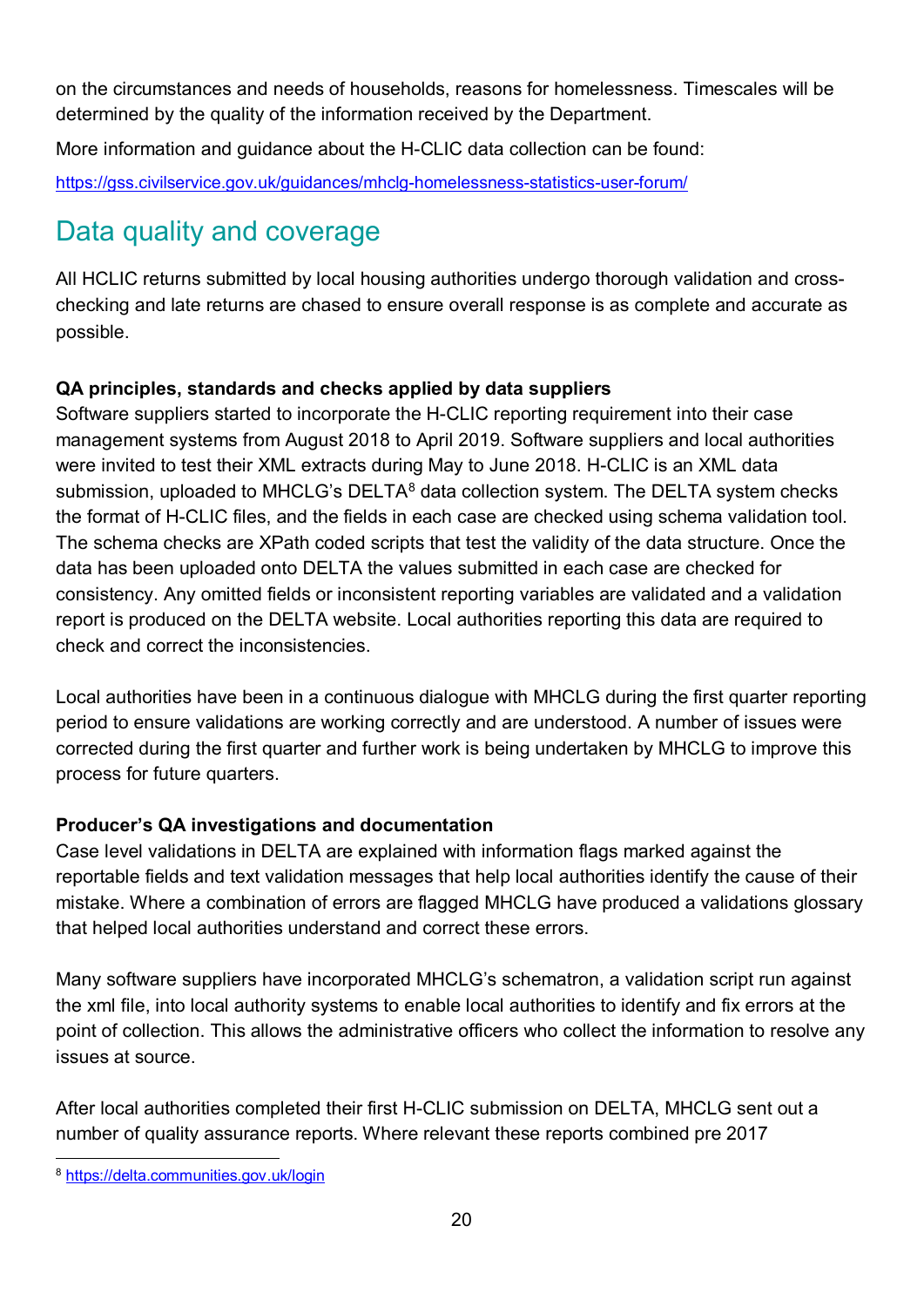on the circumstances and needs of households, reasons for homelessness. Timescales will be determined by the quality of the information received by the Department.

More information and guidance about the H-CLIC data collection can be found:

<https://gss.civilservice.gov.uk/guidances/mhclg-homelessness-statistics-user-forum/>

## Data quality and coverage

All HCLIC returns submitted by local housing authorities undergo thorough validation and crosschecking and late returns are chased to ensure overall response is as complete and accurate as possible.

### **QA principles, standards and checks applied by data suppliers**

Software suppliers started to incorporate the H-CLIC reporting requirement into their case management systems from August 2018 to April 2019. Software suppliers and local authorities were invited to test their XML extracts during May to June 2018. H-CLIC is an XML data submission, uploaded to MHCLG's DELTA<sup>[8](#page-19-0)</sup> data collection system. The DELTA system checks the format of H-CLIC files, and the fields in each case are checked using schema validation tool. The schema checks are XPath coded scripts that test the validity of the data structure. Once the data has been uploaded onto DELTA the values submitted in each case are checked for consistency. Any omitted fields or inconsistent reporting variables are validated and a validation report is produced on the DELTA website. Local authorities reporting this data are required to check and correct the inconsistencies.

Local authorities have been in a continuous dialogue with MHCLG during the first quarter reporting period to ensure validations are working correctly and are understood. A number of issues were corrected during the first quarter and further work is being undertaken by MHCLG to improve this process for future quarters.

### **Producer's QA investigations and documentation**

Case level validations in DELTA are explained with information flags marked against the reportable fields and text validation messages that help local authorities identify the cause of their mistake. Where a combination of errors are flagged MHCLG have produced a validations glossary that helped local authorities understand and correct these errors.

Many software suppliers have incorporated MHCLG's schematron, a validation script run against the xml file, into local authority systems to enable local authorities to identify and fix errors at the point of collection. This allows the administrative officers who collect the information to resolve any issues at source.

After local authorities completed their first H-CLIC submission on DELTA, MHCLG sent out a number of quality assurance reports. Where relevant these reports combined pre 2017

<span id="page-19-0"></span> <sup>8</sup> <https://delta.communities.gov.uk/login>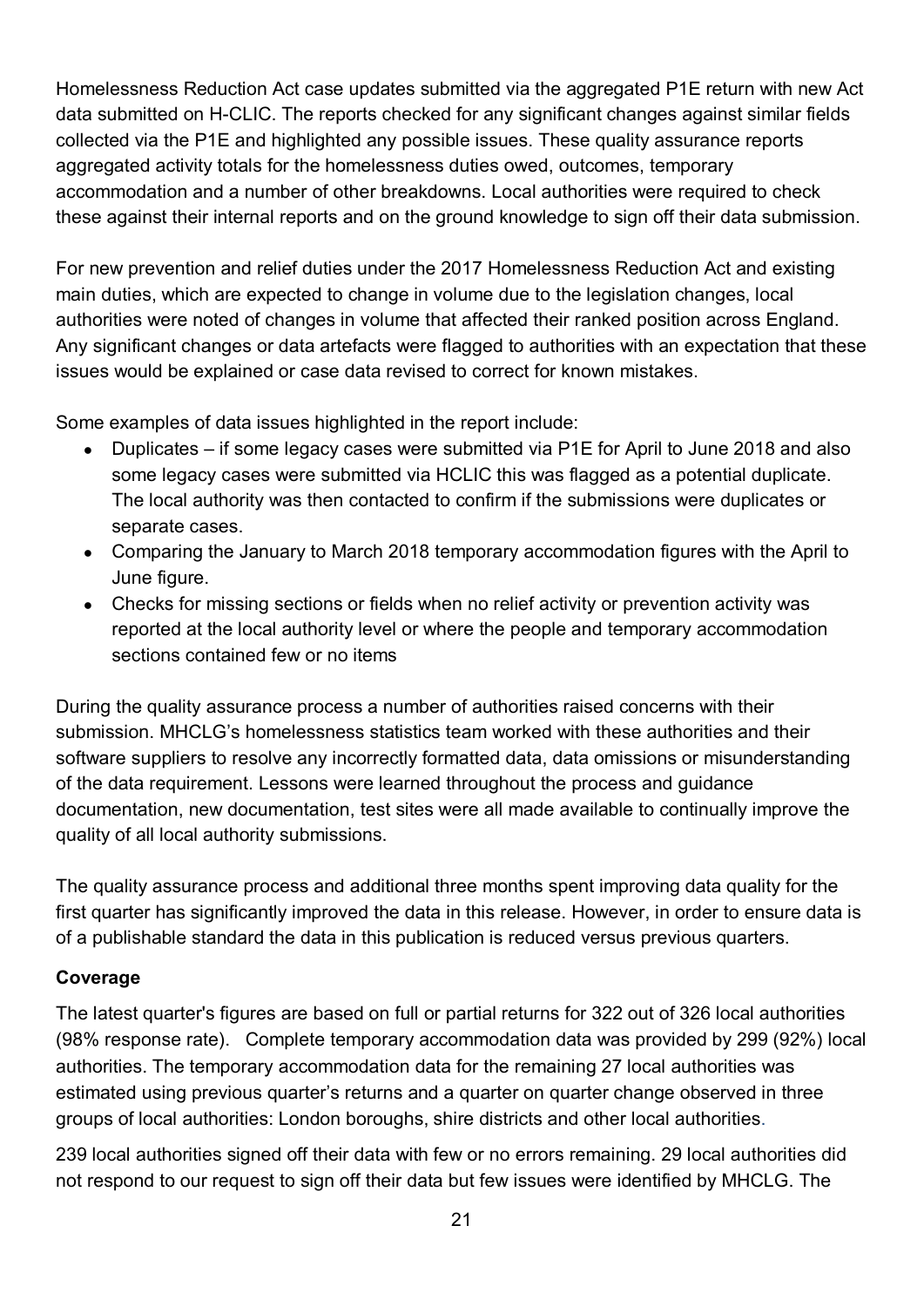Homelessness Reduction Act case updates submitted via the aggregated P1E return with new Act data submitted on H-CLIC. The reports checked for any significant changes against similar fields collected via the P1E and highlighted any possible issues. These quality assurance reports aggregated activity totals for the homelessness duties owed, outcomes, temporary accommodation and a number of other breakdowns. Local authorities were required to check these against their internal reports and on the ground knowledge to sign off their data submission.

For new prevention and relief duties under the 2017 Homelessness Reduction Act and existing main duties, which are expected to change in volume due to the legislation changes, local authorities were noted of changes in volume that affected their ranked position across England. Any significant changes or data artefacts were flagged to authorities with an expectation that these issues would be explained or case data revised to correct for known mistakes.

Some examples of data issues highlighted in the report include:

- Duplicates if some legacy cases were submitted via P1E for April to June 2018 and also some legacy cases were submitted via HCLIC this was flagged as a potential duplicate. The local authority was then contacted to confirm if the submissions were duplicates or separate cases.
- Comparing the January to March 2018 temporary accommodation figures with the April to June figure.
- Checks for missing sections or fields when no relief activity or prevention activity was reported at the local authority level or where the people and temporary accommodation sections contained few or no items

During the quality assurance process a number of authorities raised concerns with their submission. MHCLG's homelessness statistics team worked with these authorities and their software suppliers to resolve any incorrectly formatted data, data omissions or misunderstanding of the data requirement. Lessons were learned throughout the process and guidance documentation, new documentation, test sites were all made available to continually improve the quality of all local authority submissions.

The quality assurance process and additional three months spent improving data quality for the first quarter has significantly improved the data in this release. However, in order to ensure data is of a publishable standard the data in this publication is reduced versus previous quarters.

### **Coverage**

The latest quarter's figures are based on full or partial returns for 322 out of 326 local authorities (98% response rate). Complete temporary accommodation data was provided by 299 (92%) local authorities. The temporary accommodation data for the remaining 27 local authorities was estimated using previous quarter's returns and a quarter on quarter change observed in three groups of local authorities: London boroughs, shire districts and other local authorities.

239 local authorities signed off their data with few or no errors remaining. 29 local authorities did not respond to our request to sign off their data but few issues were identified by MHCLG. The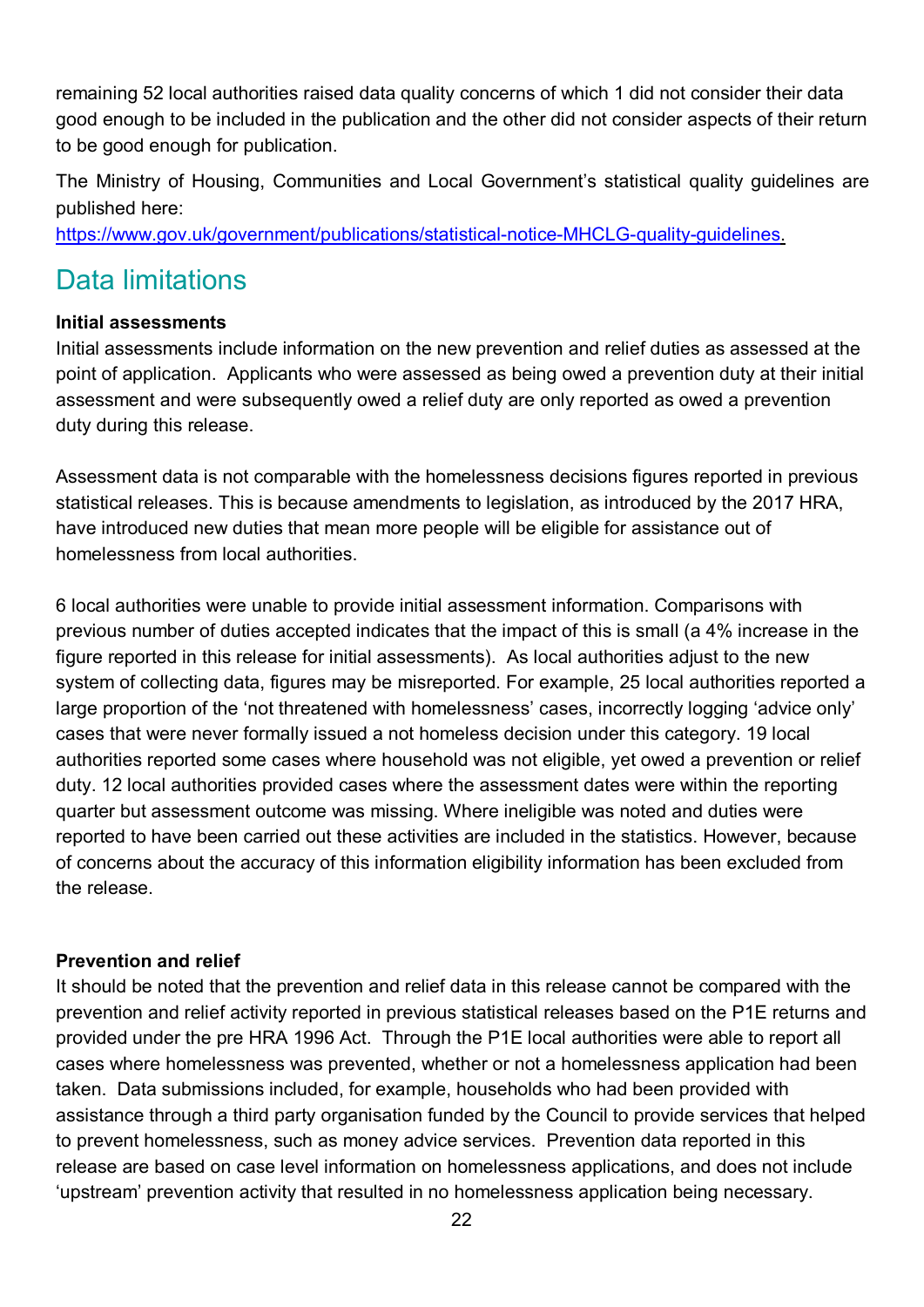remaining 52 local authorities raised data quality concerns of which 1 did not consider their data good enough to be included in the publication and the other did not consider aspects of their return to be good enough for publication.

The Ministry of Housing, Communities and Local Government's statistical quality guidelines are published here:

[https://www.gov.uk/government/publications/statistical-notice-MHCLG-quality-guidelines.](https://www.gov.uk/government/publications/statistical-notice-dclg-quality-guidelines)

### Data limitations

### **Initial assessments**

Initial assessments include information on the new prevention and relief duties as assessed at the point of application. Applicants who were assessed as being owed a prevention duty at their initial assessment and were subsequently owed a relief duty are only reported as owed a prevention duty during this release.

Assessment data is not comparable with the homelessness decisions figures reported in previous statistical releases. This is because amendments to legislation, as introduced by the 2017 HRA, have introduced new duties that mean more people will be eligible for assistance out of homelessness from local authorities.

6 local authorities were unable to provide initial assessment information. Comparisons with previous number of duties accepted indicates that the impact of this is small (a 4% increase in the figure reported in this release for initial assessments). As local authorities adjust to the new system of collecting data, figures may be misreported. For example, 25 local authorities reported a large proportion of the 'not threatened with homelessness' cases, incorrectly logging 'advice only' cases that were never formally issued a not homeless decision under this category. 19 local authorities reported some cases where household was not eligible, yet owed a prevention or relief duty. 12 local authorities provided cases where the assessment dates were within the reporting quarter but assessment outcome was missing. Where ineligible was noted and duties were reported to have been carried out these activities are included in the statistics. However, because of concerns about the accuracy of this information eligibility information has been excluded from the release.

#### **Prevention and relief**

It should be noted that the prevention and relief data in this release cannot be compared with the prevention and relief activity reported in previous statistical releases based on the P1E returns and provided under the pre HRA 1996 Act. Through the P1E local authorities were able to report all cases where homelessness was prevented, whether or not a homelessness application had been taken. Data submissions included, for example, households who had been provided with assistance through a third party organisation funded by the Council to provide services that helped to prevent homelessness, such as money advice services. Prevention data reported in this release are based on case level information on homelessness applications, and does not include 'upstream' prevention activity that resulted in no homelessness application being necessary.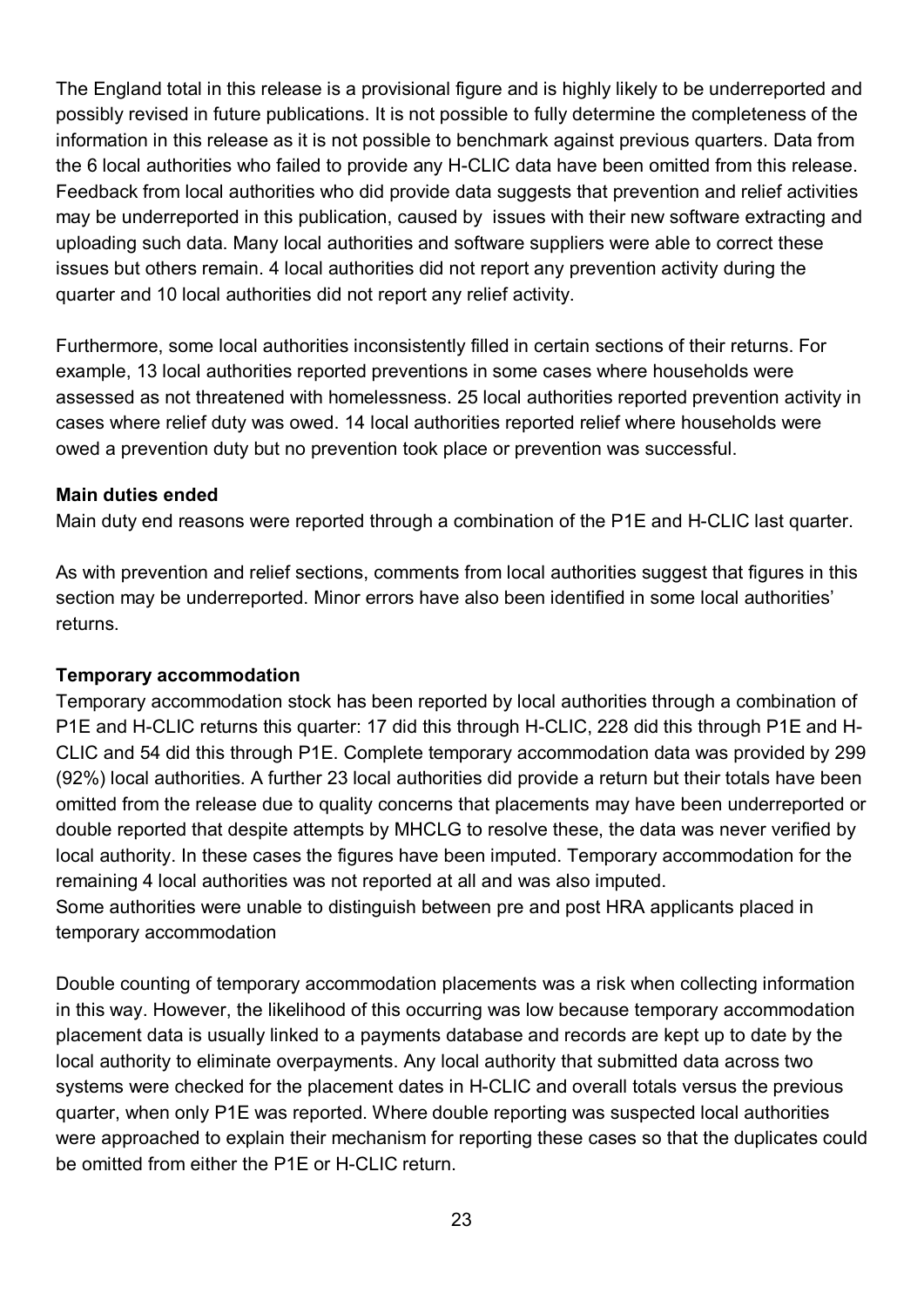The England total in this release is a provisional figure and is highly likely to be underreported and possibly revised in future publications. It is not possible to fully determine the completeness of the information in this release as it is not possible to benchmark against previous quarters. Data from the 6 local authorities who failed to provide any H-CLIC data have been omitted from this release. Feedback from local authorities who did provide data suggests that prevention and relief activities may be underreported in this publication, caused by issues with their new software extracting and uploading such data. Many local authorities and software suppliers were able to correct these issues but others remain. 4 local authorities did not report any prevention activity during the quarter and 10 local authorities did not report any relief activity.

Furthermore, some local authorities inconsistently filled in certain sections of their returns. For example, 13 local authorities reported preventions in some cases where households were assessed as not threatened with homelessness. 25 local authorities reported prevention activity in cases where relief duty was owed. 14 local authorities reported relief where households were owed a prevention duty but no prevention took place or prevention was successful.

#### **Main duties ended**

Main duty end reasons were reported through a combination of the P1E and H-CLIC last quarter.

As with prevention and relief sections, comments from local authorities suggest that figures in this section may be underreported. Minor errors have also been identified in some local authorities' returns.

#### **Temporary accommodation**

Temporary accommodation stock has been reported by local authorities through a combination of P1E and H-CLIC returns this quarter: 17 did this through H-CLIC, 228 did this through P1E and H-CLIC and 54 did this through P1E. Complete temporary accommodation data was provided by 299 (92%) local authorities. A further 23 local authorities did provide a return but their totals have been omitted from the release due to quality concerns that placements may have been underreported or double reported that despite attempts by MHCLG to resolve these, the data was never verified by local authority. In these cases the figures have been imputed. Temporary accommodation for the remaining 4 local authorities was not reported at all and was also imputed.

Some authorities were unable to distinguish between pre and post HRA applicants placed in temporary accommodation

Double counting of temporary accommodation placements was a risk when collecting information in this way. However, the likelihood of this occurring was low because temporary accommodation placement data is usually linked to a payments database and records are kept up to date by the local authority to eliminate overpayments. Any local authority that submitted data across two systems were checked for the placement dates in H-CLIC and overall totals versus the previous quarter, when only P1E was reported. Where double reporting was suspected local authorities were approached to explain their mechanism for reporting these cases so that the duplicates could be omitted from either the P1E or H-CLIC return.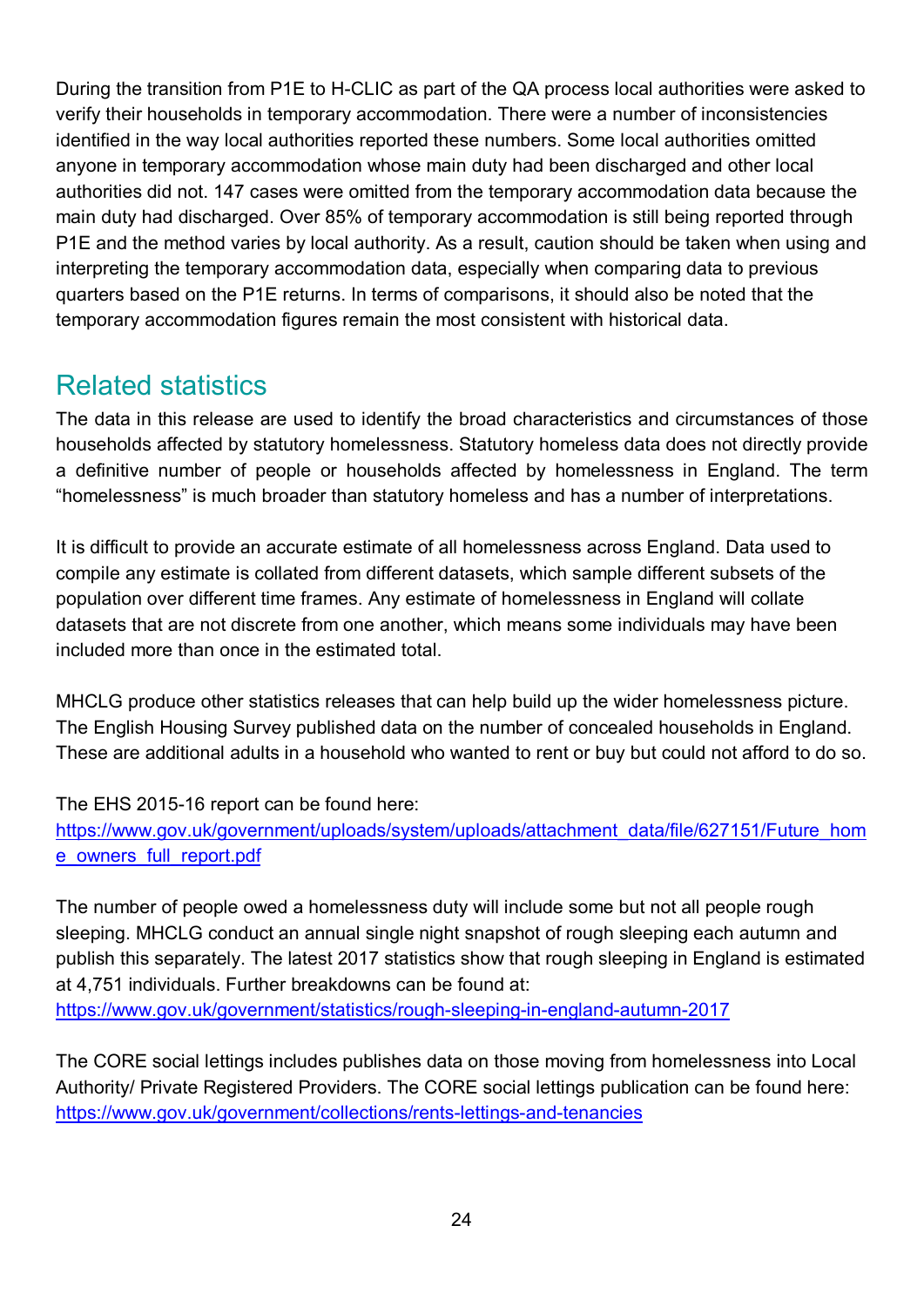During the transition from P1E to H-CLIC as part of the QA process local authorities were asked to verify their households in temporary accommodation. There were a number of inconsistencies identified in the way local authorities reported these numbers. Some local authorities omitted anyone in temporary accommodation whose main duty had been discharged and other local authorities did not. 147 cases were omitted from the temporary accommodation data because the main duty had discharged. Over 85% of temporary accommodation is still being reported through P1E and the method varies by local authority. As a result, caution should be taken when using and interpreting the temporary accommodation data, especially when comparing data to previous quarters based on the P1E returns. In terms of comparisons, it should also be noted that the temporary accommodation figures remain the most consistent with historical data.

### Related statistics

The data in this release are used to identify the broad characteristics and circumstances of those households affected by statutory homelessness. Statutory homeless data does not directly provide a definitive number of people or households affected by homelessness in England. The term "homelessness" is much broader than statutory homeless and has a number of interpretations.

It is difficult to provide an accurate estimate of all homelessness across England. Data used to compile any estimate is collated from different datasets, which sample different subsets of the population over different time frames. Any estimate of homelessness in England will collate datasets that are not discrete from one another, which means some individuals may have been included more than once in the estimated total.

MHCLG produce other statistics releases that can help build up the wider homelessness picture. The English Housing Survey published data on the number of concealed households in England. These are additional adults in a household who wanted to rent or buy but could not afford to do so.

The EHS 2015-16 report can be found here:

[https://www.gov.uk/government/uploads/system/uploads/attachment\\_data/file/627151/Future\\_hom](https://www.gov.uk/government/uploads/system/uploads/attachment_data/file/627151/Future_home_owners_full_report.pdf) [e\\_owners\\_full\\_report.pdf](https://www.gov.uk/government/uploads/system/uploads/attachment_data/file/627151/Future_home_owners_full_report.pdf)

The number of people owed a homelessness duty will include some but not all people rough sleeping. MHCLG conduct an annual single night snapshot of rough sleeping each autumn and publish this separately. The latest 2017 statistics show that rough sleeping in England is estimated at 4,751 individuals. Further breakdowns can be found at: <https://www.gov.uk/government/statistics/rough-sleeping-in-england-autumn-2017>

The CORE social lettings includes publishes data on those moving from homelessness into Local Authority/ Private Registered Providers. The CORE social lettings publication can be found here: <https://www.gov.uk/government/collections/rents-lettings-and-tenancies>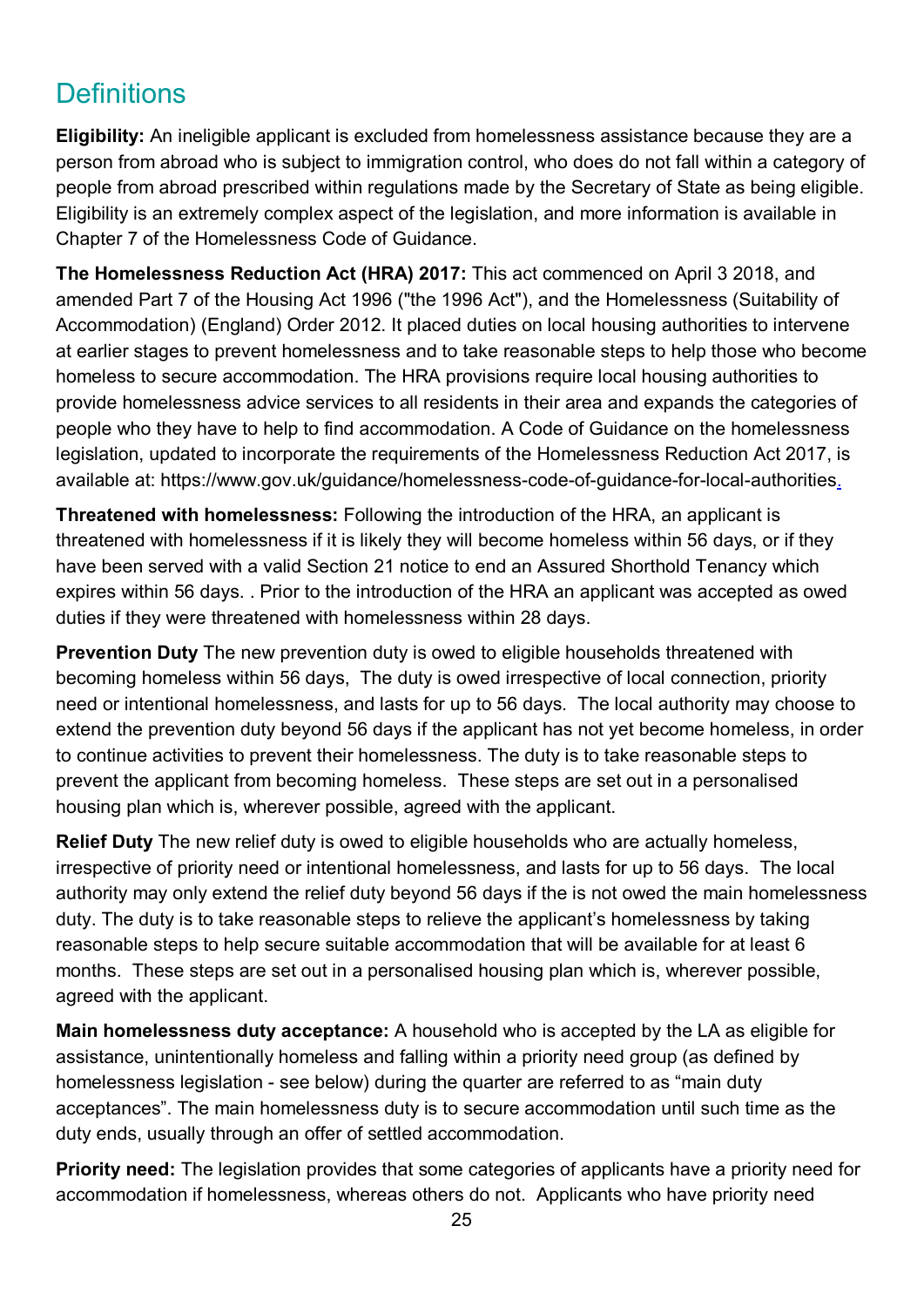## **Definitions**

**Eligibility:** An ineligible applicant is excluded from homelessness assistance because they are a person from abroad who is subject to immigration control, who does do not fall within a category of people from abroad prescribed within regulations made by the Secretary of State as being eligible. Eligibility is an extremely complex aspect of the legislation, and more information is available in Chapter 7 of the Homelessness Code of Guidance.

**The Homelessness Reduction Act (HRA) 2017:** This act commenced on April 3 2018, and amended Part 7 of the Housing Act 1996 ("the 1996 Act"), and the Homelessness (Suitability of Accommodation) (England) Order 2012. It placed duties on local housing authorities to intervene at earlier stages to prevent homelessness and to take reasonable steps to help those who become homeless to secure accommodation. The HRA provisions require local housing authorities to provide homelessness advice services to all residents in their area and expands the categories of people who they have to help to find accommodation. A Code of Guidance on the homelessness legislation, updated to incorporate the requirements of the Homelessness Reduction Act 2017, is available at: https://www.gov.uk/guidance/homelessness-code-of-guidance-for-local-authorities.

**Threatened with homelessness:** Following the introduction of the HRA, an applicant is threatened with homelessness if it is likely they will become homeless within 56 days, or if they have been served with a valid Section 21 notice to end an Assured Shorthold Tenancy which expires within 56 days. . Prior to the introduction of the HRA an applicant was accepted as owed duties if they were threatened with homelessness within 28 days.

**Prevention Duty** The new prevention duty is owed to eligible households threatened with becoming homeless within 56 days, The duty is owed irrespective of local connection, priority need or intentional homelessness, and lasts for up to 56 days. The local authority may choose to extend the prevention duty beyond 56 days if the applicant has not yet become homeless, in order to continue activities to prevent their homelessness. The duty is to take reasonable steps to prevent the applicant from becoming homeless. These steps are set out in a personalised housing plan which is, wherever possible, agreed with the applicant.

**Relief Duty** The new relief duty is owed to eligible households who are actually homeless, irrespective of priority need or intentional homelessness, and lasts for up to 56 days. The local authority may only extend the relief duty beyond 56 days if the is not owed the main homelessness duty. The duty is to take reasonable steps to relieve the applicant's homelessness by taking reasonable steps to help secure suitable accommodation that will be available for at least 6 months. These steps are set out in a personalised housing plan which is, wherever possible, agreed with the applicant.

**Main homelessness duty acceptance:** A household who is accepted by the LA as eligible for assistance, unintentionally homeless and falling within a priority need group (as defined by homelessness legislation - see below) during the quarter are referred to as "main duty acceptances". The main homelessness duty is to secure accommodation until such time as the duty ends, usually through an offer of settled accommodation.

**Priority need:** The legislation provides that some categories of applicants have a priority need for accommodation if homelessness, whereas others do not.Applicants who have priority need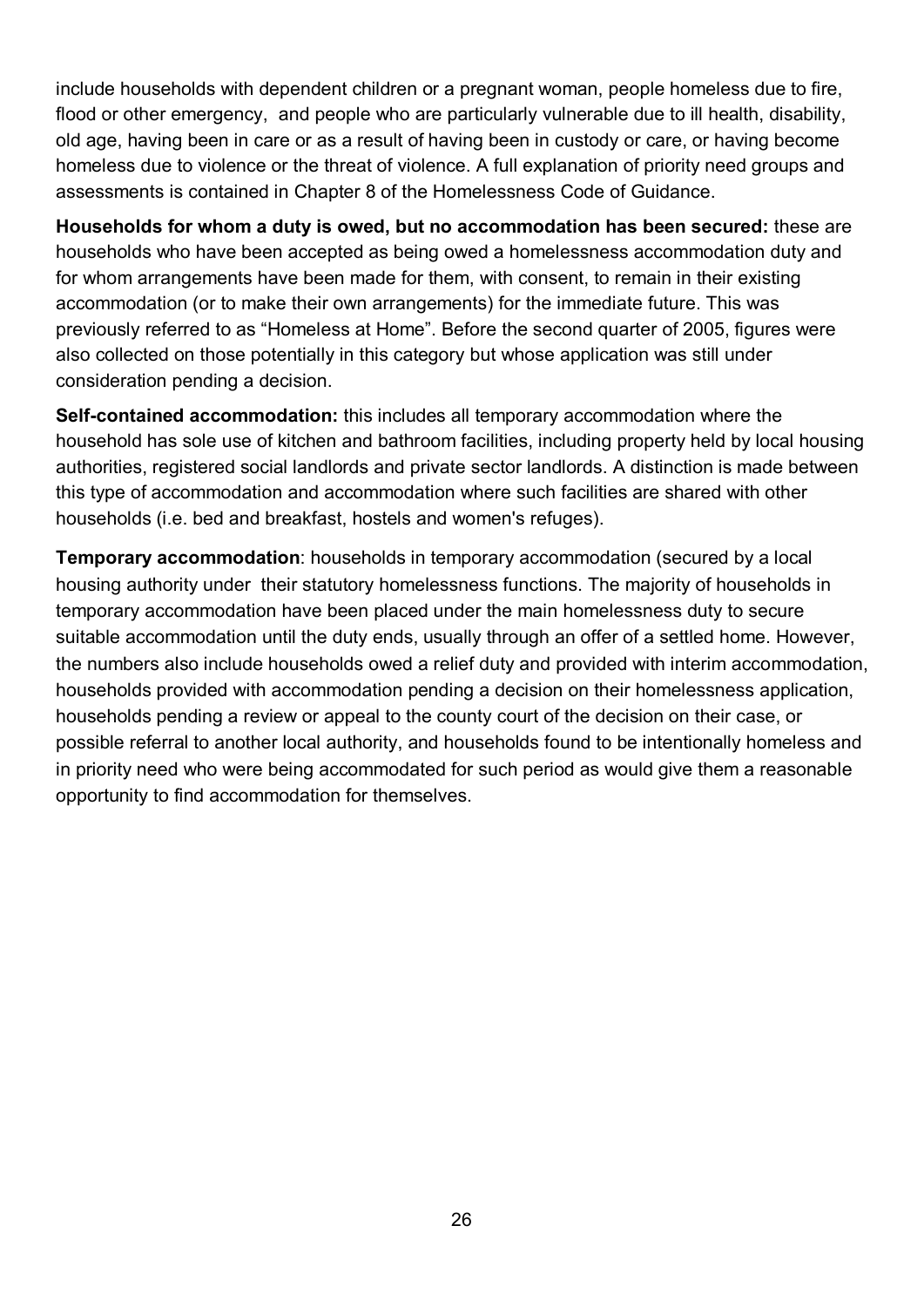include households with dependent children or a pregnant woman, people homeless due to fire, flood or other emergency, and people who are particularly vulnerable due to ill health, disability, old age, having been in care or as a result of having been in custody or care, or having become homeless due to violence or the threat of violence. A full explanation of priority need groups and assessments is contained in Chapter 8 of the Homelessness Code of Guidance.

**Households for whom a duty is owed, but no accommodation has been secured:** these are households who have been accepted as being owed a homelessness accommodation duty and for whom arrangements have been made for them, with consent, to remain in their existing accommodation (or to make their own arrangements) for the immediate future. This was previously referred to as "Homeless at Home". Before the second quarter of 2005, figures were also collected on those potentially in this category but whose application was still under consideration pending a decision.

**Self-contained accommodation:** this includes all temporary accommodation where the household has sole use of kitchen and bathroom facilities, including property held by local housing authorities, registered social landlords and private sector landlords. A distinction is made between this type of accommodation and accommodation where such facilities are shared with other households (i.e. bed and breakfast, hostels and women's refuges).

**Temporary accommodation**: households in temporary accommodation (secured by a local housing authority under their statutory homelessness functions. The majority of households in temporary accommodation have been placed under the main homelessness duty to secure suitable accommodation until the duty ends, usually through an offer of a settled home. However, the numbers also include households owed a relief duty and provided with interim accommodation, households provided with accommodation pending a decision on their homelessness application, households pending a review or appeal to the county court of the decision on their case, or possible referral to another local authority, and households found to be intentionally homeless and in priority need who were being accommodated for such period as would give them a reasonable opportunity to find accommodation for themselves.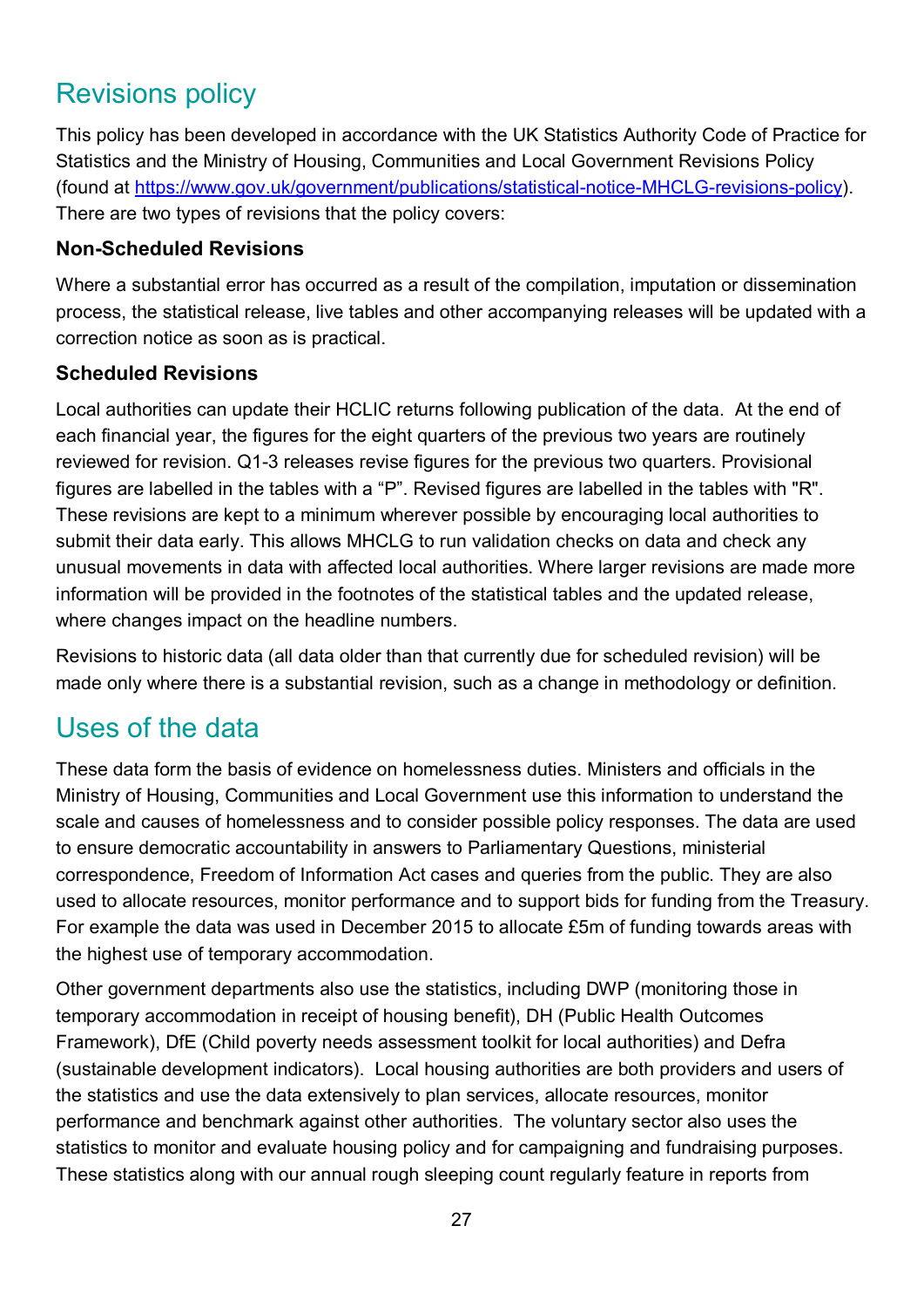## Revisions policy

This policy has been developed in accordance with the UK Statistics Authority Code of Practice for Statistics and the Ministry of Housing, Communities and Local Government Revisions Policy (found at [https://www.gov.uk/government/publications/statistical-notice-MHCLG-revisions-policy\)](https://www.gov.uk/government/publications/statistical-notice-dclg-revisions-policy). There are two types of revisions that the policy covers:

### **Non-Scheduled Revisions**

Where a substantial error has occurred as a result of the compilation, imputation or dissemination process, the statistical release, live tables and other accompanying releases will be updated with a correction notice as soon as is practical.

### **Scheduled Revisions**

Local authorities can update their HCLIC returns following publication of the data. At the end of each financial year, the figures for the eight quarters of the previous two years are routinely reviewed for revision. Q1-3 releases revise figures for the previous two quarters. Provisional figures are labelled in the tables with a "P". Revised figures are labelled in the tables with "R". These revisions are kept to a minimum wherever possible by encouraging local authorities to submit their data early. This allows MHCLG to run validation checks on data and check any unusual movements in data with affected local authorities. Where larger revisions are made more information will be provided in the footnotes of the statistical tables and the updated release, where changes impact on the headline numbers.

Revisions to historic data (all data older than that currently due for scheduled revision) will be made only where there is a substantial revision, such as a change in methodology or definition.

### Uses of the data

These data form the basis of evidence on homelessness duties. Ministers and officials in the Ministry of Housing, Communities and Local Government use this information to understand the scale and causes of homelessness and to consider possible policy responses. The data are used to ensure democratic accountability in answers to Parliamentary Questions, ministerial correspondence, Freedom of Information Act cases and queries from the public. They are also used to allocate resources, monitor performance and to support bids for funding from the Treasury. For example the data was used in December 2015 to allocate £5m of funding towards areas with the highest use of temporary accommodation.

Other government departments also use the statistics, including DWP (monitoring those in temporary accommodation in receipt of housing benefit), DH (Public Health Outcomes Framework), DfE (Child poverty needs assessment toolkit for local authorities) and Defra (sustainable development indicators). Local housing authorities are both providers and users of the statistics and use the data extensively to plan services, allocate resources, monitor performance and benchmark against other authorities. The voluntary sector also uses the statistics to monitor and evaluate housing policy and for campaigning and fundraising purposes. These statistics along with our annual rough sleeping count regularly feature in reports from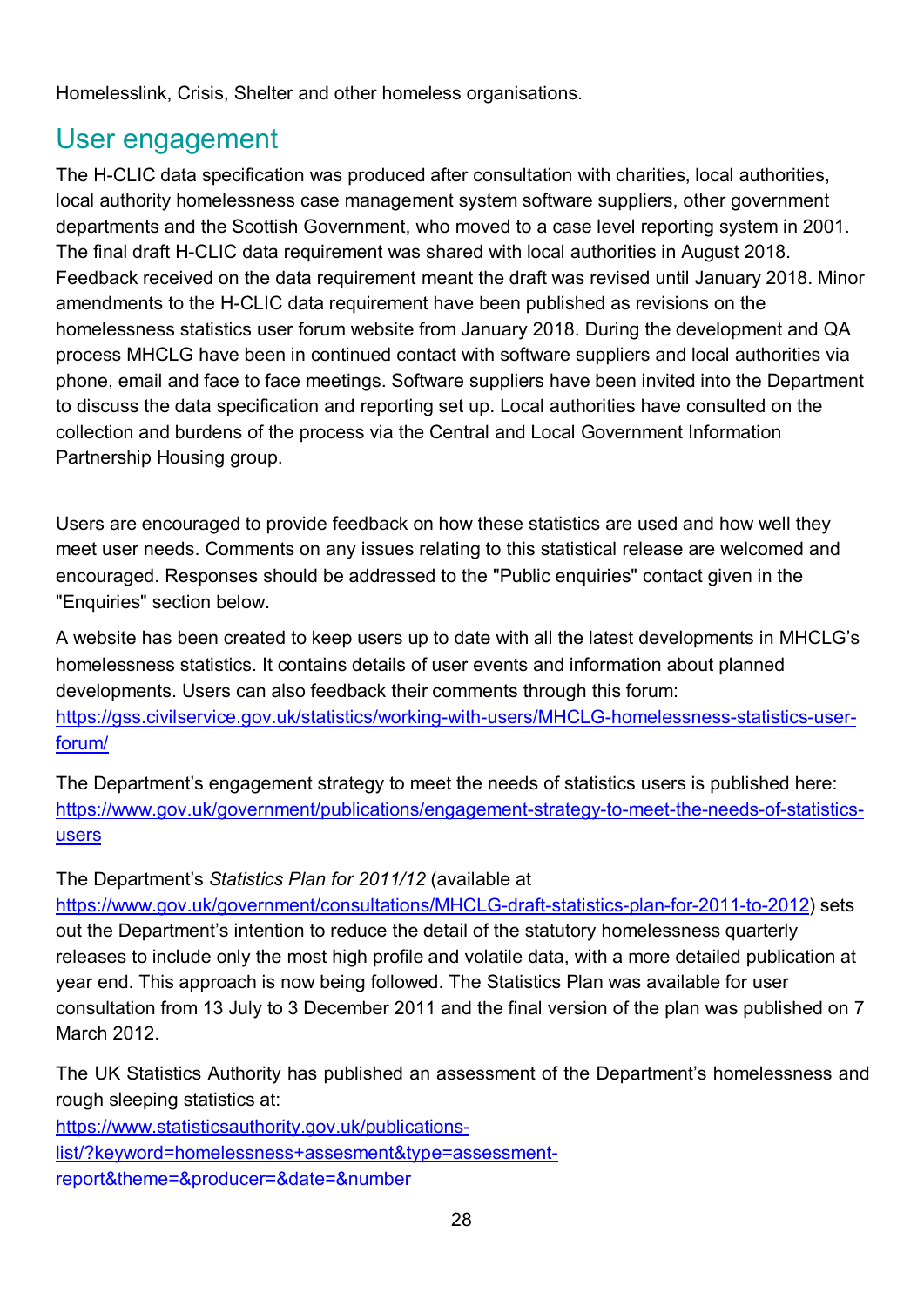Homelesslink, Crisis, Shelter and other homeless organisations.

## User engagement

The H-CLIC data specification was produced after consultation with charities, local authorities, local authority homelessness case management system software suppliers, other government departments and the Scottish Government, who moved to a case level reporting system in 2001. The final draft H-CLIC data requirement was shared with local authorities in August 2018. Feedback received on the data requirement meant the draft was revised until January 2018. Minor amendments to the H-CLIC data requirement have been published as revisions on the homelessness statistics user forum website from January 2018. During the development and QA process MHCLG have been in continued contact with software suppliers and local authorities via phone, email and face to face meetings. Software suppliers have been invited into the Department to discuss the data specification and reporting set up. Local authorities have consulted on the collection and burdens of the process via the Central and Local Government Information Partnership Housing group.

Users are encouraged to provide feedback on how these statistics are used and how well they meet user needs. Comments on any issues relating to this statistical release are welcomed and encouraged. Responses should be addressed to the "Public enquiries" contact given in the "Enquiries" section below.

A website has been created to keep users up to date with all the latest developments in MHCLG's homelessness statistics. It contains details of user events and information about planned developments. Users can also feedback their comments through this forum: [https://gss.civilservice.gov.uk/statistics/working-with-users/MHCLG-homelessness-statistics-user](https://gss.civilservice.gov.uk/statistics/working-with-users/dclg-homelessness-statistics-user-forum/)[forum/](https://gss.civilservice.gov.uk/statistics/working-with-users/dclg-homelessness-statistics-user-forum/)

The Department's engagement strategy to meet the needs of statistics users is published here: [https://www.gov.uk/government/publications/engagement-strategy-to-meet-the-needs-of-statistics](https://www.gov.uk/government/publications/engagement-strategy-to-meet-the-needs-of-statistics-users)[users](https://www.gov.uk/government/publications/engagement-strategy-to-meet-the-needs-of-statistics-users)

The Department's *Statistics Plan for 2011/12* (available at

[https://www.gov.uk/government/consultations/MHCLG-draft-statistics-plan-for-2011-to-2012\)](https://www.gov.uk/government/consultations/dclg-draft-statistics-plan-for-2011-to-2012) sets out the Department's intention to reduce the detail of the statutory homelessness quarterly releases to include only the most high profile and volatile data, with a more detailed publication at year end. This approach is now being followed. The Statistics Plan was available for user consultation from 13 July to 3 December 2011 and the final version of the plan was published on 7 March 2012.

The UK Statistics Authority has published an assessment of the Department's homelessness and rough sleeping statistics at:

[https://www.statisticsauthority.gov.uk/publications](https://www.statisticsauthority.gov.uk/publications-list/?keyword=homelessness+assesment&type=assessment-report&theme=&producer=&date=&number)[list/?keyword=homelessness+assesment&type=assessment](https://www.statisticsauthority.gov.uk/publications-list/?keyword=homelessness+assesment&type=assessment-report&theme=&producer=&date=&number)[report&theme=&producer=&date=&number](https://www.statisticsauthority.gov.uk/publications-list/?keyword=homelessness+assesment&type=assessment-report&theme=&producer=&date=&number)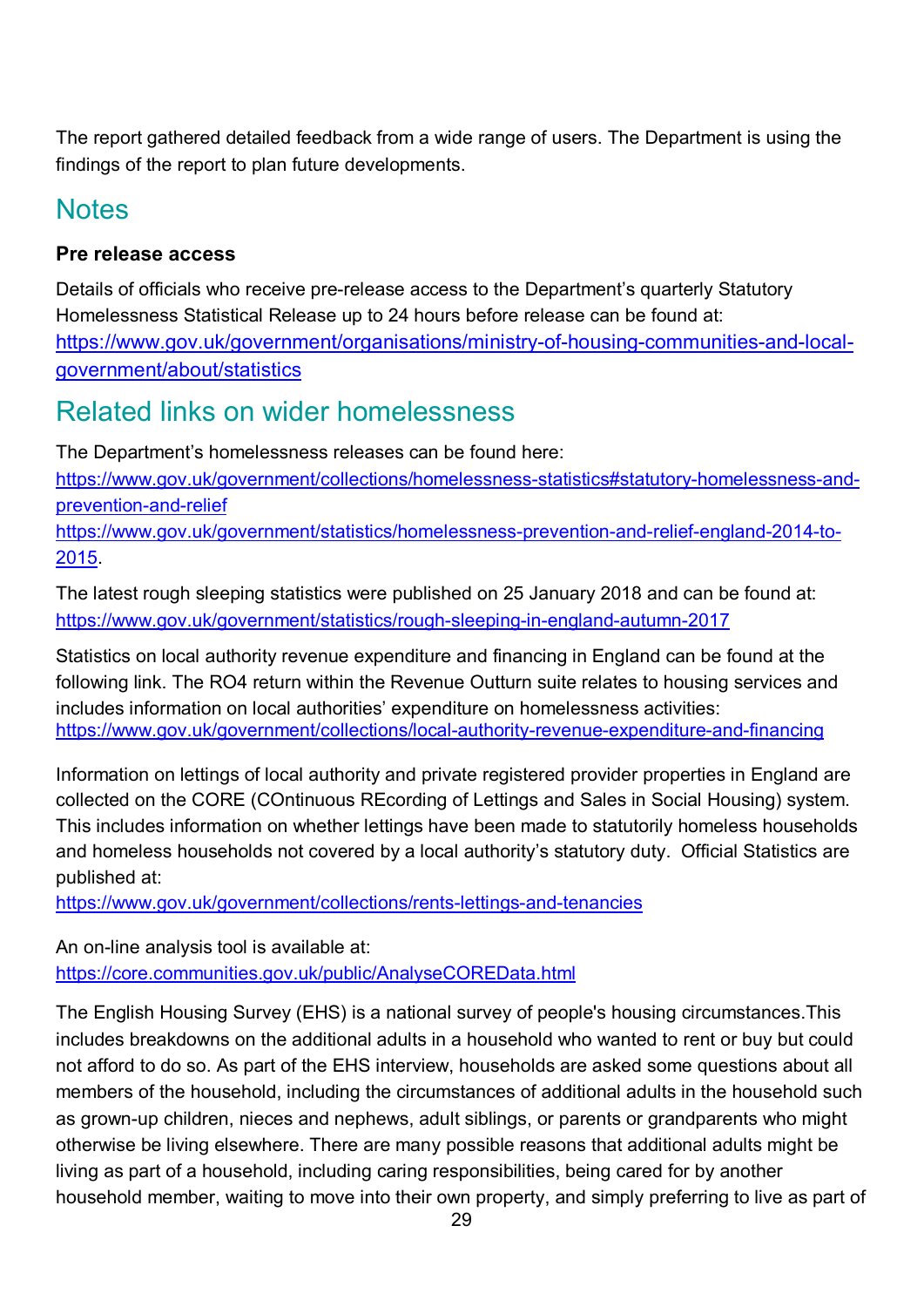The report gathered detailed feedback from a wide range of users. The Department is using the findings of the report to plan future developments.

## **Notes**

### **Pre release access**

Details of officials who receive pre-release access to the Department's quarterly Statutory Homelessness Statistical Release up to 24 hours before release can be found at: [https://www.gov.uk/government/organisations/ministry-of-housing-communities-and-local](https://www.gov.uk/government/organisations/ministry-of-housing-communities-and-local-government/about/statistics)[government/about/statistics](https://www.gov.uk/government/organisations/ministry-of-housing-communities-and-local-government/about/statistics)

## Related links on wider homelessness

The Department's homelessness releases can be found here:

[https://www.gov.uk/government/collections/homelessness-statistics#statutory-homelessness-and](https://www.gov.uk/government/collections/homelessness-statistics#statutory-homelessness-and-prevention-and-relief)[prevention-and-relief](https://www.gov.uk/government/collections/homelessness-statistics#statutory-homelessness-and-prevention-and-relief)

[https://www.gov.uk/government/statistics/homelessness-prevention-and-relief-england-2014-to-](https://www.gov.uk/government/statistics/homelessness-prevention-and-relief-england-2014-to-2015)[2015.](https://www.gov.uk/government/statistics/homelessness-prevention-and-relief-england-2014-to-2015)

The latest rough sleeping statistics were published on 25 January 2018 and can be found at: <https://www.gov.uk/government/statistics/rough-sleeping-in-england-autumn-2017>

Statistics on local authority revenue expenditure and financing in England can be found at the following link. The RO4 return within the Revenue Outturn suite relates to housing services and includes information on local authorities' expenditure on homelessness activities: <https://www.gov.uk/government/collections/local-authority-revenue-expenditure-and-financing>

Information on lettings of local authority and private registered provider properties in England are collected on the CORE (COntinuous REcording of Lettings and Sales in Social Housing) system. This includes information on whether lettings have been made to statutorily homeless households and homeless households not covered by a local authority's statutory duty. Official Statistics are published at:

<https://www.gov.uk/government/collections/rents-lettings-and-tenancies>

An on-line analysis tool is available at: <https://core.communities.gov.uk/public/AnalyseCOREData.html>

The English Housing Survey (EHS) is a national survey of people's housing circumstances.This includes breakdowns on the additional adults in a household who wanted to rent or buy but could not afford to do so. As part of the EHS interview, households are asked some questions about all members of the household, including the circumstances of additional adults in the household such as grown-up children, nieces and nephews, adult siblings, or parents or grandparents who might otherwise be living elsewhere. There are many possible reasons that additional adults might be living as part of a household, including caring responsibilities, being cared for by another household member, waiting to move into their own property, and simply preferring to live as part of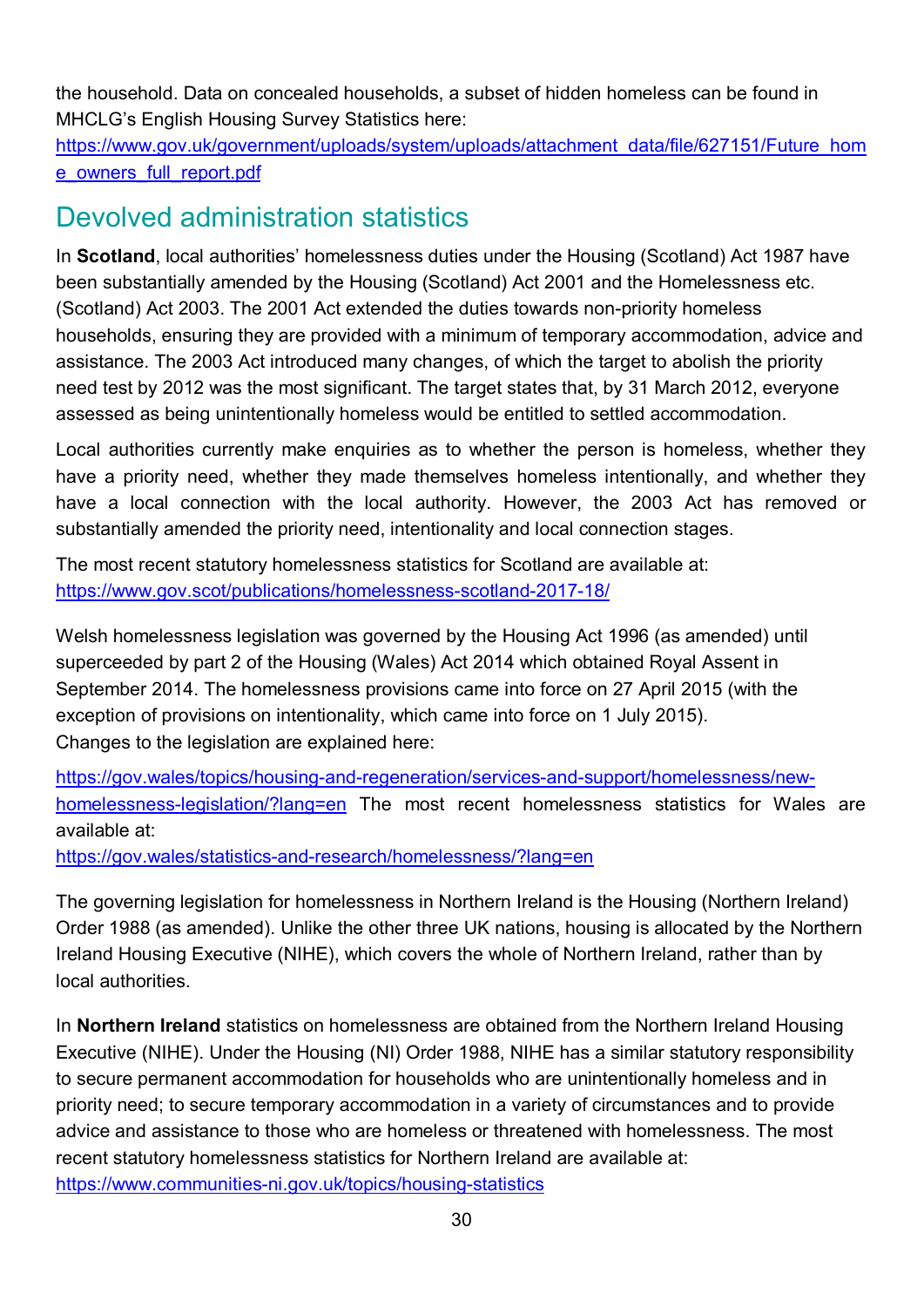the household. Data on concealed households, a subset of hidden homeless can be found in MHCLG's English Housing Survey Statistics here:

[https://www.gov.uk/government/uploads/system/uploads/attachment\\_data/file/627151/Future\\_hom](https://www.gov.uk/government/uploads/system/uploads/attachment_data/file/627151/Future_home_owners_full_report.pdf) [e\\_owners\\_full\\_report.pdf](https://www.gov.uk/government/uploads/system/uploads/attachment_data/file/627151/Future_home_owners_full_report.pdf)

### Devolved administration statistics

In **Scotland**, local authorities' homelessness duties under the Housing (Scotland) Act 1987 have been substantially amended by the Housing (Scotland) Act 2001 and the Homelessness etc. (Scotland) Act 2003. The 2001 Act extended the duties towards non-priority homeless households, ensuring they are provided with a minimum of temporary accommodation, advice and assistance. The 2003 Act introduced many changes, of which the target to abolish the priority need test by 2012 was the most significant. The target states that, by 31 March 2012, everyone assessed as being unintentionally homeless would be entitled to settled accommodation.

Local authorities currently make enquiries as to whether the person is homeless, whether they have a priority need, whether they made themselves homeless intentionally, and whether they have a local connection with the local authority. However, the 2003 Act has removed or substantially amended the priority need, intentionality and local connection stages.

The most recent statutory homelessness statistics for Scotland are available at: <https://www.gov.scot/publications/homelessness-scotland-2017-18/>

Welsh homelessness legislation was governed by the Housing Act 1996 (as amended) until superceeded by part 2 of the Housing (Wales) Act 2014 which obtained Royal Assent in September 2014. The homelessness provisions came into force on 27 April 2015 (with the exception of provisions on intentionality, which came into force on 1 July 2015). Changes to the legislation are explained here:

[https://gov.wales/topics/housing-and-regeneration/services-and-support/homelessness/new](https://gov.wales/topics/housing-and-regeneration/services-and-support/homelessness/new-homelessness-legislation/?lang=en)[homelessness-legislation/?lang=en](https://gov.wales/topics/housing-and-regeneration/services-and-support/homelessness/new-homelessness-legislation/?lang=en) The most recent homelessness statistics for Wales are available at:

<https://gov.wales/statistics-and-research/homelessness/?lang=en>

The governing legislation for homelessness in Northern Ireland is the Housing (Northern Ireland) Order 1988 (as amended). Unlike the other three UK nations, housing is allocated by the Northern Ireland Housing Executive (NIHE), which covers the whole of Northern Ireland, rather than by local authorities.

In **Northern Ireland** statistics on homelessness are obtained from the Northern Ireland Housing Executive (NIHE). Under the Housing (NI) Order 1988, NIHE has a similar statutory responsibility to secure permanent accommodation for households who are unintentionally homeless and in priority need; to secure temporary accommodation in a variety of circumstances and to provide advice and assistance to those who are homeless or threatened with homelessness. The most recent statutory homelessness statistics for Northern Ireland are available at: <https://www.communities-ni.gov.uk/topics/housing-statistics>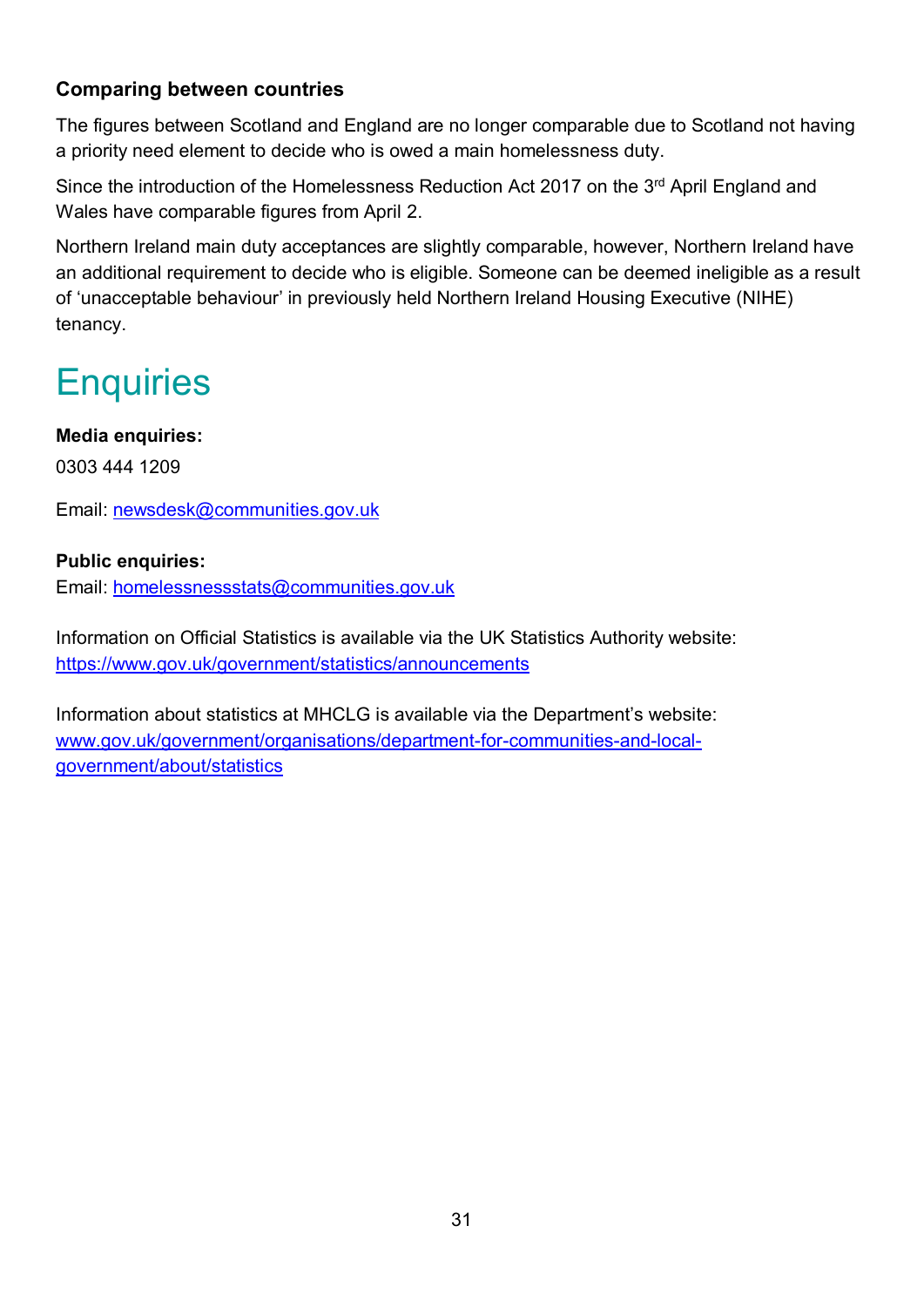### **Comparing between countries**

The figures between Scotland and England are no longer comparable due to Scotland not having a priority need element to decide who is owed a main homelessness duty.

Since the introduction of the Homelessness Reduction Act 2017 on the 3<sup>rd</sup> April England and Wales have comparable figures from April 2.

Northern Ireland main duty acceptances are slightly comparable, however, Northern Ireland have an additional requirement to decide who is eligible. Someone can be deemed ineligible as a result of 'unacceptable behaviour' in previously held Northern Ireland Housing Executive (NIHE) tenancy.

# **Enquiries**

### **Media enquiries:**

0303 444 1209

Email: [newsdesk@communities.gov.uk](mailto:newsdesk@communities.gov.uk)

### **Public enquiries:**

Email: [homelessnessstats@communities.gov.uk](mailto:homelessnessstats@communities.gov.uk)

Information on Official Statistics is available via the UK Statistics Authority website: <https://www.gov.uk/government/statistics/announcements>

Information about statistics at MHCLG is available via the Department's website: [www.gov.uk/government/organisations/department-for-communities-and-local](http://www.gov.uk/government/organisations/department-for-communities-and-local-government/about/statistics)[government/about/statistics](http://www.gov.uk/government/organisations/department-for-communities-and-local-government/about/statistics)